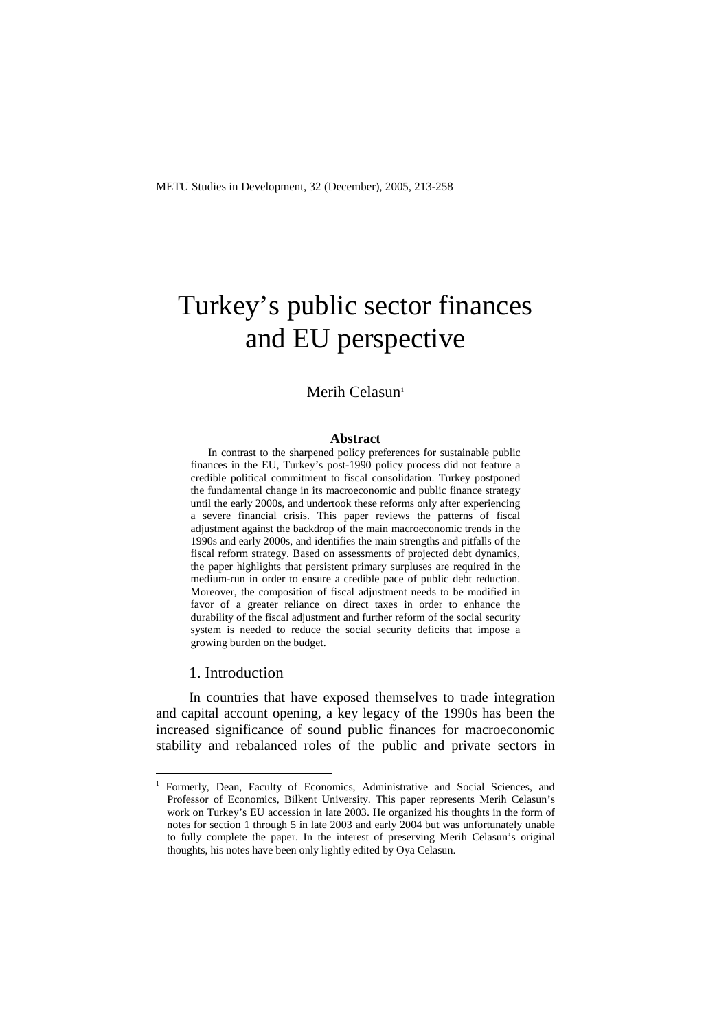# Turkey's public sector finances and EU perspective

# Merih Celasun<sup>1</sup>

#### **Abstract**

In contrast to the sharpened policy preferences for sustainable public finances in the EU, Turkey's post-1990 policy process did not feature a credible political commitment to fiscal consolidation. Turkey postponed the fundamental change in its macroeconomic and public finance strategy until the early 2000s, and undertook these reforms only after experiencing a severe financial crisis. This paper reviews the patterns of fiscal adjustment against the backdrop of the main macroeconomic trends in the 1990s and early 2000s, and identifies the main strengths and pitfalls of the fiscal reform strategy. Based on assessments of projected debt dynamics, the paper highlights that persistent primary surpluses are required in the medium-run in order to ensure a credible pace of public debt reduction. Moreover, the composition of fiscal adjustment needs to be modified in favor of a greater reliance on direct taxes in order to enhance the durability of the fiscal adjustment and further reform of the social security system is needed to reduce the social security deficits that impose a growing burden on the budget.

#### 1. Introduction

 $\overline{a}$ 

In countries that have exposed themselves to trade integration and capital account opening, a key legacy of the 1990s has been the increased significance of sound public finances for macroeconomic stability and rebalanced roles of the public and private sectors in

<sup>1</sup> Formerly, Dean, Faculty of Economics, Administrative and Social Sciences, and Professor of Economics, Bilkent University. This paper represents Merih Celasun's work on Turkey's EU accession in late 2003. He organized his thoughts in the form of notes for section 1 through 5 in late 2003 and early 2004 but was unfortunately unable to fully complete the paper. In the interest of preserving Merih Celasun's original thoughts, his notes have been only lightly edited by Oya Celasun.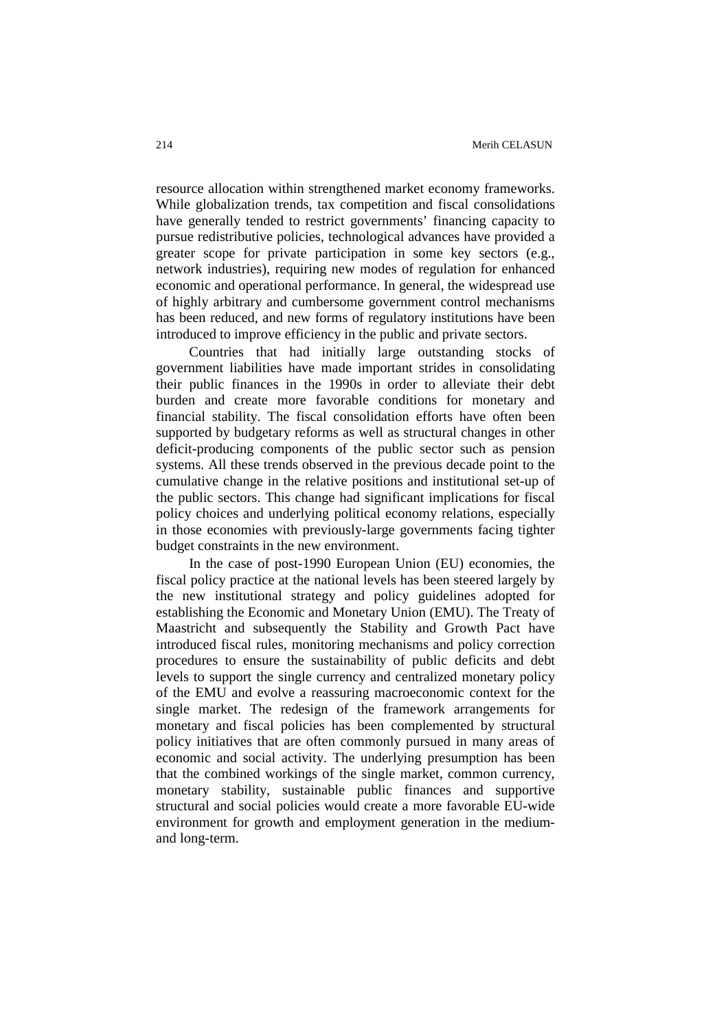resource allocation within strengthened market economy frameworks. While globalization trends, tax competition and fiscal consolidations have generally tended to restrict governments' financing capacity to pursue redistributive policies, technological advances have provided a greater scope for private participation in some key sectors (e.g., network industries), requiring new modes of regulation for enhanced economic and operational performance. In general, the widespread use of highly arbitrary and cumbersome government control mechanisms has been reduced, and new forms of regulatory institutions have been introduced to improve efficiency in the public and private sectors.

Countries that had initially large outstanding stocks of government liabilities have made important strides in consolidating their public finances in the 1990s in order to alleviate their debt burden and create more favorable conditions for monetary and financial stability. The fiscal consolidation efforts have often been supported by budgetary reforms as well as structural changes in other deficit-producing components of the public sector such as pension systems. All these trends observed in the previous decade point to the cumulative change in the relative positions and institutional set-up of the public sectors. This change had significant implications for fiscal policy choices and underlying political economy relations, especially in those economies with previously-large governments facing tighter budget constraints in the new environment.

In the case of post-1990 European Union (EU) economies, the fiscal policy practice at the national levels has been steered largely by the new institutional strategy and policy guidelines adopted for establishing the Economic and Monetary Union (EMU). The Treaty of Maastricht and subsequently the Stability and Growth Pact have introduced fiscal rules, monitoring mechanisms and policy correction procedures to ensure the sustainability of public deficits and debt levels to support the single currency and centralized monetary policy of the EMU and evolve a reassuring macroeconomic context for the single market. The redesign of the framework arrangements for monetary and fiscal policies has been complemented by structural policy initiatives that are often commonly pursued in many areas of economic and social activity. The underlying presumption has been that the combined workings of the single market, common currency, monetary stability, sustainable public finances and supportive structural and social policies would create a more favorable EU-wide environment for growth and employment generation in the mediumand long-term.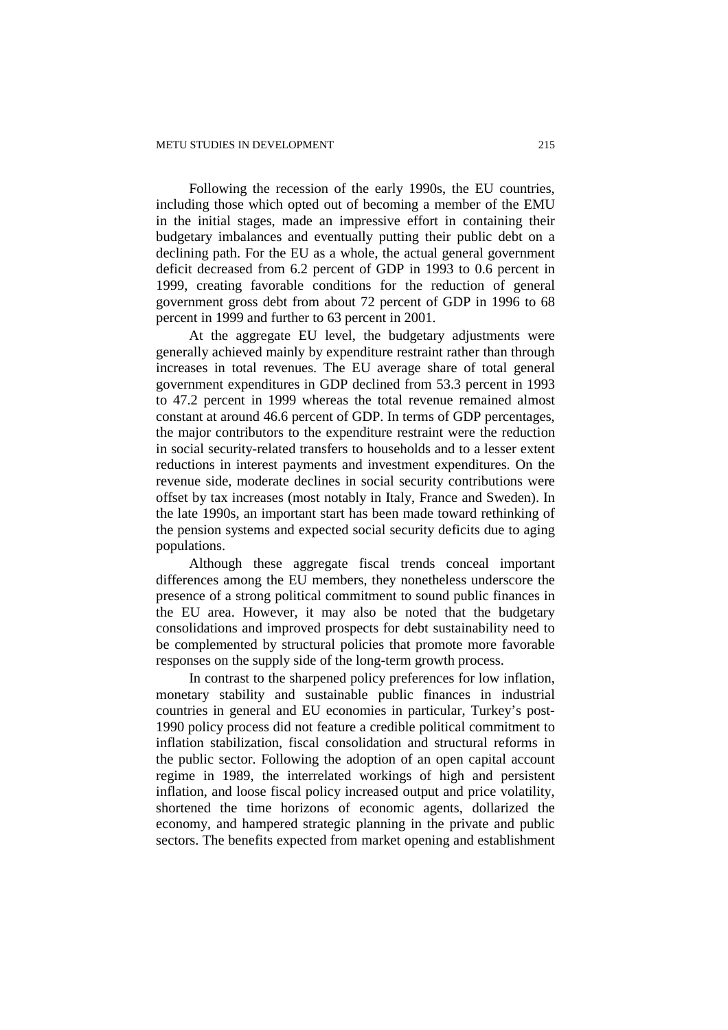Following the recession of the early 1990s, the EU countries, including those which opted out of becoming a member of the EMU in the initial stages, made an impressive effort in containing their budgetary imbalances and eventually putting their public debt on a declining path. For the EU as a whole, the actual general government deficit decreased from 6.2 percent of GDP in 1993 to 0.6 percent in 1999, creating favorable conditions for the reduction of general government gross debt from about 72 percent of GDP in 1996 to 68 percent in 1999 and further to 63 percent in 2001.

At the aggregate EU level, the budgetary adjustments were generally achieved mainly by expenditure restraint rather than through increases in total revenues. The EU average share of total general government expenditures in GDP declined from 53.3 percent in 1993 to 47.2 percent in 1999 whereas the total revenue remained almost constant at around 46.6 percent of GDP. In terms of GDP percentages, the major contributors to the expenditure restraint were the reduction in social security-related transfers to households and to a lesser extent reductions in interest payments and investment expenditures. On the revenue side, moderate declines in social security contributions were offset by tax increases (most notably in Italy, France and Sweden). In the late 1990s, an important start has been made toward rethinking of the pension systems and expected social security deficits due to aging populations.

Although these aggregate fiscal trends conceal important differences among the EU members, they nonetheless underscore the presence of a strong political commitment to sound public finances in the EU area. However, it may also be noted that the budgetary consolidations and improved prospects for debt sustainability need to be complemented by structural policies that promote more favorable responses on the supply side of the long-term growth process.

In contrast to the sharpened policy preferences for low inflation, monetary stability and sustainable public finances in industrial countries in general and EU economies in particular, Turkey's post-1990 policy process did not feature a credible political commitment to inflation stabilization, fiscal consolidation and structural reforms in the public sector. Following the adoption of an open capital account regime in 1989, the interrelated workings of high and persistent inflation, and loose fiscal policy increased output and price volatility, shortened the time horizons of economic agents, dollarized the economy, and hampered strategic planning in the private and public sectors. The benefits expected from market opening and establishment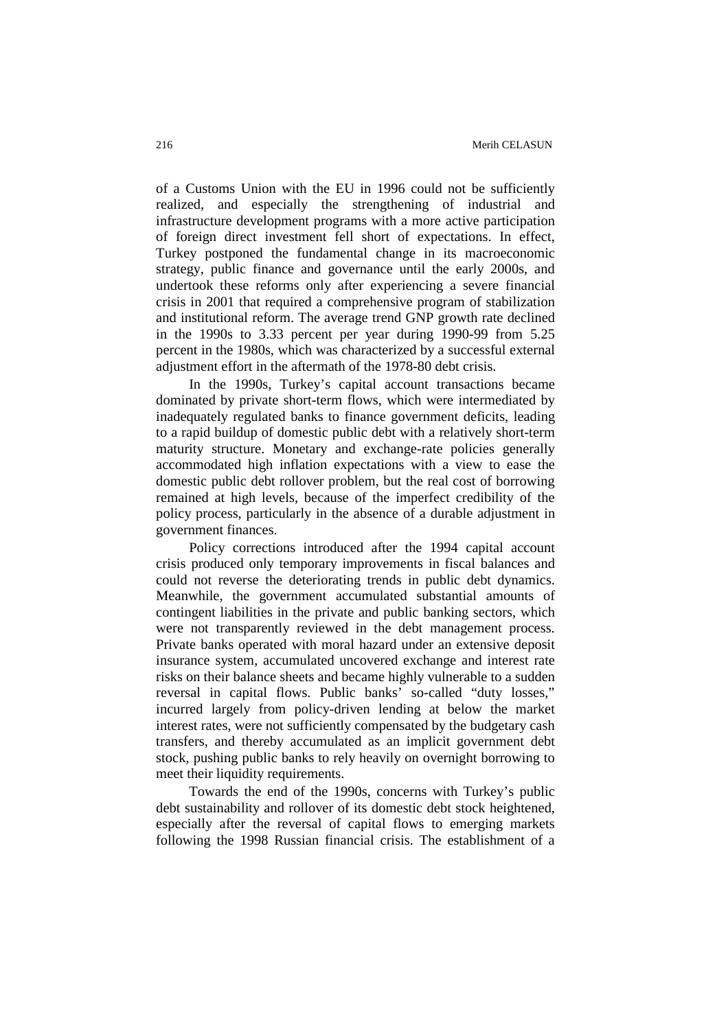of a Customs Union with the EU in 1996 could not be sufficiently realized, and especially the strengthening of industrial and infrastructure development programs with a more active participation of foreign direct investment fell short of expectations. In effect, Turkey postponed the fundamental change in its macroeconomic strategy, public finance and governance until the early 2000s, and undertook these reforms only after experiencing a severe financial crisis in 2001 that required a comprehensive program of stabilization and institutional reform. The average trend GNP growth rate declined in the 1990s to 3.33 percent per year during 1990-99 from 5.25 percent in the 1980s, which was characterized by a successful external adjustment effort in the aftermath of the 1978-80 debt crisis.

In the 1990s, Turkey's capital account transactions became dominated by private short-term flows, which were intermediated by inadequately regulated banks to finance government deficits, leading to a rapid buildup of domestic public debt with a relatively short-term maturity structure. Monetary and exchange-rate policies generally accommodated high inflation expectations with a view to ease the domestic public debt rollover problem, but the real cost of borrowing remained at high levels, because of the imperfect credibility of the policy process, particularly in the absence of a durable adjustment in government finances.

Policy corrections introduced after the 1994 capital account crisis produced only temporary improvements in fiscal balances and could not reverse the deteriorating trends in public debt dynamics. Meanwhile, the government accumulated substantial amounts of contingent liabilities in the private and public banking sectors, which were not transparently reviewed in the debt management process. Private banks operated with moral hazard under an extensive deposit insurance system, accumulated uncovered exchange and interest rate risks on their balance sheets and became highly vulnerable to a sudden reversal in capital flows. Public banks' so-called "duty losses," incurred largely from policy-driven lending at below the market interest rates, were not sufficiently compensated by the budgetary cash transfers, and thereby accumulated as an implicit government debt stock, pushing public banks to rely heavily on overnight borrowing to meet their liquidity requirements.

Towards the end of the 1990s, concerns with Turkey's public debt sustainability and rollover of its domestic debt stock heightened, especially after the reversal of capital flows to emerging markets following the 1998 Russian financial crisis. The establishment of a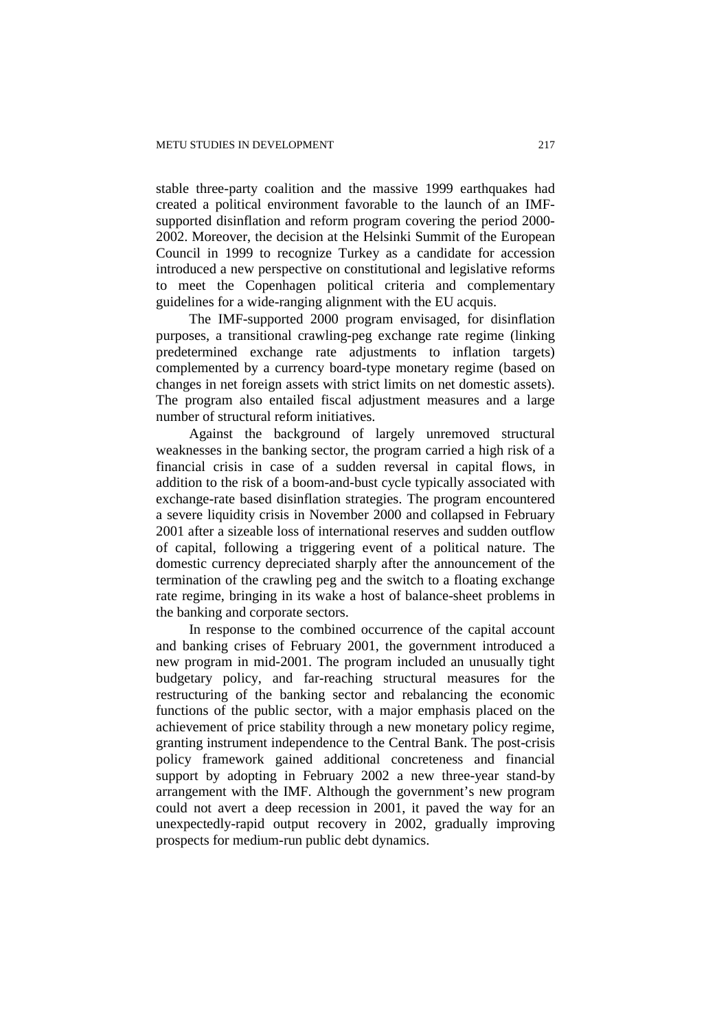stable three-party coalition and the massive 1999 earthquakes had created a political environment favorable to the launch of an IMFsupported disinflation and reform program covering the period 2000- 2002. Moreover, the decision at the Helsinki Summit of the European Council in 1999 to recognize Turkey as a candidate for accession introduced a new perspective on constitutional and legislative reforms to meet the Copenhagen political criteria and complementary guidelines for a wide-ranging alignment with the EU acquis.

The IMF-supported 2000 program envisaged, for disinflation purposes, a transitional crawling-peg exchange rate regime (linking predetermined exchange rate adjustments to inflation targets) complemented by a currency board-type monetary regime (based on changes in net foreign assets with strict limits on net domestic assets). The program also entailed fiscal adjustment measures and a large number of structural reform initiatives.

Against the background of largely unremoved structural weaknesses in the banking sector, the program carried a high risk of a financial crisis in case of a sudden reversal in capital flows, in addition to the risk of a boom-and-bust cycle typically associated with exchange-rate based disinflation strategies. The program encountered a severe liquidity crisis in November 2000 and collapsed in February 2001 after a sizeable loss of international reserves and sudden outflow of capital, following a triggering event of a political nature. The domestic currency depreciated sharply after the announcement of the termination of the crawling peg and the switch to a floating exchange rate regime, bringing in its wake a host of balance-sheet problems in the banking and corporate sectors.

In response to the combined occurrence of the capital account and banking crises of February 2001, the government introduced a new program in mid-2001. The program included an unusually tight budgetary policy, and far-reaching structural measures for the restructuring of the banking sector and rebalancing the economic functions of the public sector, with a major emphasis placed on the achievement of price stability through a new monetary policy regime, granting instrument independence to the Central Bank. The post-crisis policy framework gained additional concreteness and financial support by adopting in February 2002 a new three-year stand-by arrangement with the IMF. Although the government's new program could not avert a deep recession in 2001, it paved the way for an unexpectedly-rapid output recovery in 2002, gradually improving prospects for medium-run public debt dynamics.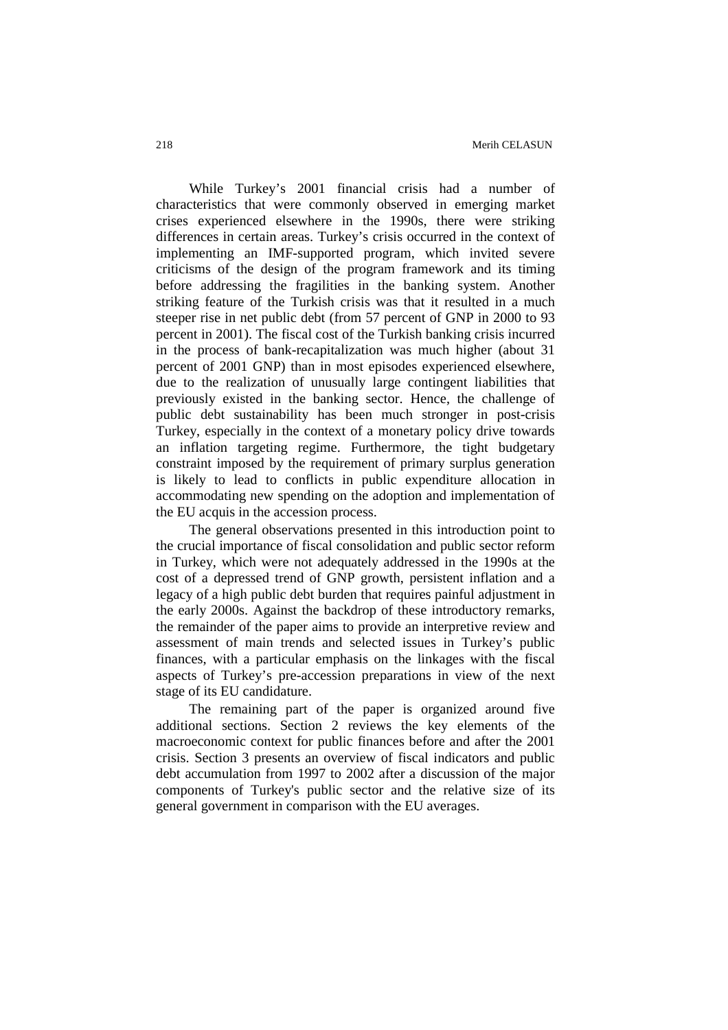While Turkey's 2001 financial crisis had a number of characteristics that were commonly observed in emerging market crises experienced elsewhere in the 1990s, there were striking differences in certain areas. Turkey's crisis occurred in the context of implementing an IMF-supported program, which invited severe criticisms of the design of the program framework and its timing before addressing the fragilities in the banking system. Another striking feature of the Turkish crisis was that it resulted in a much steeper rise in net public debt (from 57 percent of GNP in 2000 to 93 percent in 2001). The fiscal cost of the Turkish banking crisis incurred in the process of bank-recapitalization was much higher (about 31 percent of 2001 GNP) than in most episodes experienced elsewhere, due to the realization of unusually large contingent liabilities that previously existed in the banking sector. Hence, the challenge of public debt sustainability has been much stronger in post-crisis Turkey, especially in the context of a monetary policy drive towards an inflation targeting regime. Furthermore, the tight budgetary constraint imposed by the requirement of primary surplus generation is likely to lead to conflicts in public expenditure allocation in accommodating new spending on the adoption and implementation of the EU acquis in the accession process.

The general observations presented in this introduction point to the crucial importance of fiscal consolidation and public sector reform in Turkey, which were not adequately addressed in the 1990s at the cost of a depressed trend of GNP growth, persistent inflation and a legacy of a high public debt burden that requires painful adjustment in the early 2000s. Against the backdrop of these introductory remarks, the remainder of the paper aims to provide an interpretive review and assessment of main trends and selected issues in Turkey's public finances, with a particular emphasis on the linkages with the fiscal aspects of Turkey's pre-accession preparations in view of the next stage of its EU candidature.

The remaining part of the paper is organized around five additional sections. Section 2 reviews the key elements of the macroeconomic context for public finances before and after the 2001 crisis. Section 3 presents an overview of fiscal indicators and public debt accumulation from 1997 to 2002 after a discussion of the major components of Turkey's public sector and the relative size of its general government in comparison with the EU averages.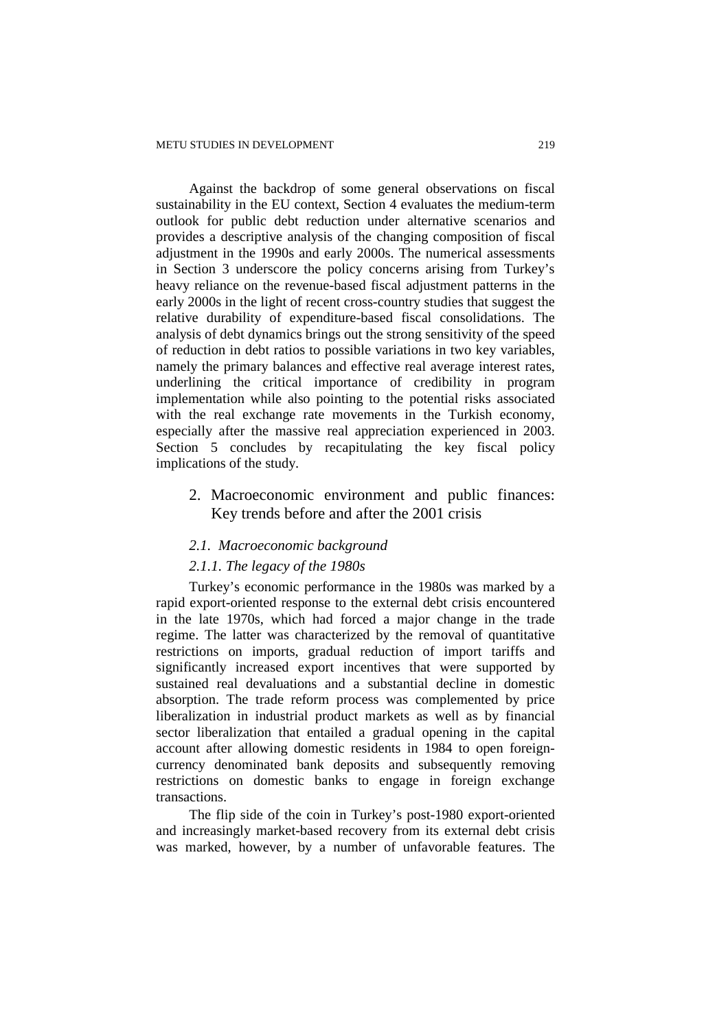Against the backdrop of some general observations on fiscal sustainability in the EU context, Section 4 evaluates the medium-term outlook for public debt reduction under alternative scenarios and provides a descriptive analysis of the changing composition of fiscal adjustment in the 1990s and early 2000s. The numerical assessments in Section 3 underscore the policy concerns arising from Turkey's heavy reliance on the revenue-based fiscal adjustment patterns in the early 2000s in the light of recent cross-country studies that suggest the relative durability of expenditure-based fiscal consolidations. The analysis of debt dynamics brings out the strong sensitivity of the speed of reduction in debt ratios to possible variations in two key variables, namely the primary balances and effective real average interest rates, underlining the critical importance of credibility in program implementation while also pointing to the potential risks associated with the real exchange rate movements in the Turkish economy, especially after the massive real appreciation experienced in 2003. Section 5 concludes by recapitulating the key fiscal policy implications of the study.

2. Macroeconomic environment and public finances: Key trends before and after the 2001 crisis

## *2.1. Macroeconomic background*

## *2.1.1. The legacy of the 1980s*

Turkey's economic performance in the 1980s was marked by a rapid export-oriented response to the external debt crisis encountered in the late 1970s, which had forced a major change in the trade regime. The latter was characterized by the removal of quantitative restrictions on imports, gradual reduction of import tariffs and significantly increased export incentives that were supported by sustained real devaluations and a substantial decline in domestic absorption. The trade reform process was complemented by price liberalization in industrial product markets as well as by financial sector liberalization that entailed a gradual opening in the capital account after allowing domestic residents in 1984 to open foreigncurrency denominated bank deposits and subsequently removing restrictions on domestic banks to engage in foreign exchange transactions.

The flip side of the coin in Turkey's post-1980 export-oriented and increasingly market-based recovery from its external debt crisis was marked, however, by a number of unfavorable features. The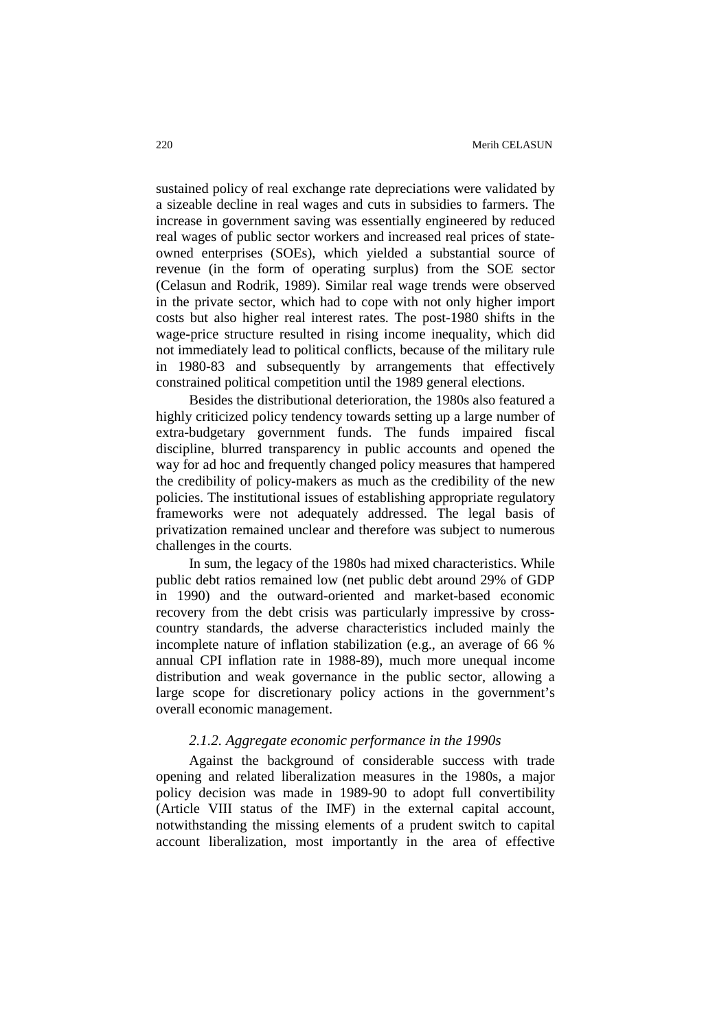sustained policy of real exchange rate depreciations were validated by a sizeable decline in real wages and cuts in subsidies to farmers. The increase in government saving was essentially engineered by reduced real wages of public sector workers and increased real prices of stateowned enterprises (SOEs), which yielded a substantial source of revenue (in the form of operating surplus) from the SOE sector (Celasun and Rodrik, 1989). Similar real wage trends were observed in the private sector, which had to cope with not only higher import costs but also higher real interest rates. The post-1980 shifts in the wage-price structure resulted in rising income inequality, which did not immediately lead to political conflicts, because of the military rule in 1980-83 and subsequently by arrangements that effectively constrained political competition until the 1989 general elections.

Besides the distributional deterioration, the 1980s also featured a highly criticized policy tendency towards setting up a large number of extra-budgetary government funds. The funds impaired fiscal discipline, blurred transparency in public accounts and opened the way for ad hoc and frequently changed policy measures that hampered the credibility of policy-makers as much as the credibility of the new policies. The institutional issues of establishing appropriate regulatory frameworks were not adequately addressed. The legal basis of privatization remained unclear and therefore was subject to numerous challenges in the courts.

In sum, the legacy of the 1980s had mixed characteristics. While public debt ratios remained low (net public debt around 29% of GDP in 1990) and the outward-oriented and market-based economic recovery from the debt crisis was particularly impressive by crosscountry standards, the adverse characteristics included mainly the incomplete nature of inflation stabilization (e.g., an average of 66 % annual CPI inflation rate in 1988-89), much more unequal income distribution and weak governance in the public sector, allowing a large scope for discretionary policy actions in the government's overall economic management.

#### *2.1.2. Aggregate economic performance in the 1990s*

Against the background of considerable success with trade opening and related liberalization measures in the 1980s, a major policy decision was made in 1989-90 to adopt full convertibility (Article VIII status of the IMF) in the external capital account, notwithstanding the missing elements of a prudent switch to capital account liberalization, most importantly in the area of effective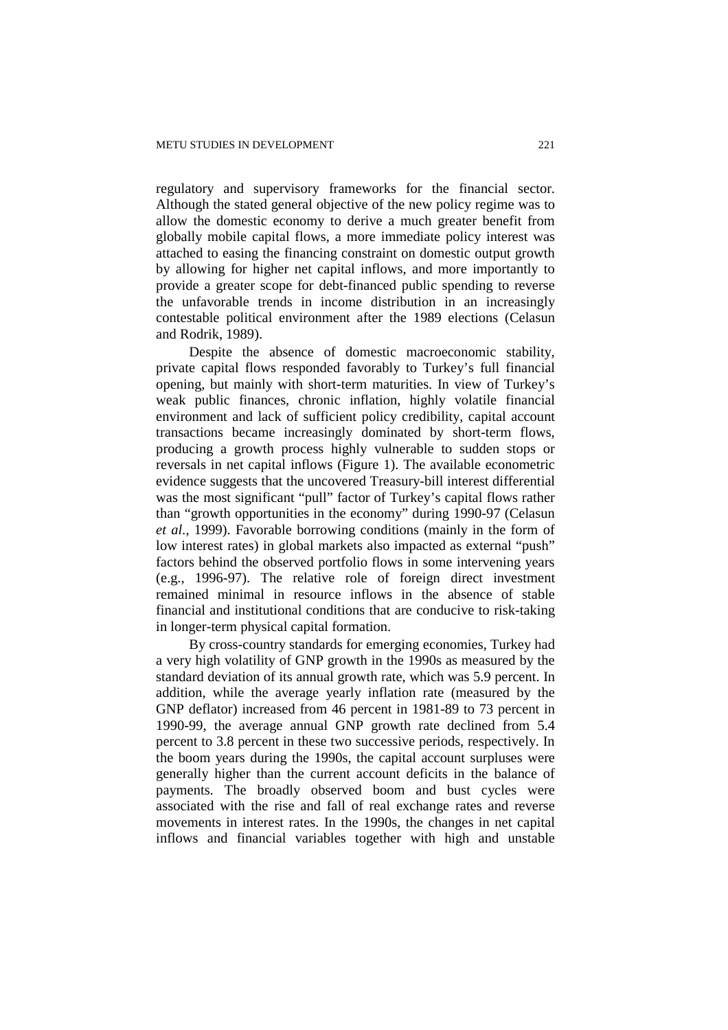regulatory and supervisory frameworks for the financial sector. Although the stated general objective of the new policy regime was to allow the domestic economy to derive a much greater benefit from globally mobile capital flows, a more immediate policy interest was attached to easing the financing constraint on domestic output growth by allowing for higher net capital inflows, and more importantly to provide a greater scope for debt-financed public spending to reverse the unfavorable trends in income distribution in an increasingly contestable political environment after the 1989 elections (Celasun and Rodrik, 1989).

Despite the absence of domestic macroeconomic stability, private capital flows responded favorably to Turkey's full financial opening, but mainly with short-term maturities. In view of Turkey's weak public finances, chronic inflation, highly volatile financial environment and lack of sufficient policy credibility, capital account transactions became increasingly dominated by short-term flows, producing a growth process highly vulnerable to sudden stops or reversals in net capital inflows (Figure 1). The available econometric evidence suggests that the uncovered Treasury-bill interest differential was the most significant "pull" factor of Turkey's capital flows rather than "growth opportunities in the economy" during 1990-97 (Celasun *et al.,* 1999). Favorable borrowing conditions (mainly in the form of low interest rates) in global markets also impacted as external "push" factors behind the observed portfolio flows in some intervening years (e.g., 1996-97). The relative role of foreign direct investment remained minimal in resource inflows in the absence of stable financial and institutional conditions that are conducive to risk-taking in longer-term physical capital formation.

By cross-country standards for emerging economies, Turkey had a very high volatility of GNP growth in the 1990s as measured by the standard deviation of its annual growth rate, which was 5.9 percent. In addition, while the average yearly inflation rate (measured by the GNP deflator) increased from 46 percent in 1981-89 to 73 percent in 1990-99, the average annual GNP growth rate declined from 5.4 percent to 3.8 percent in these two successive periods, respectively. In the boom years during the 1990s, the capital account surpluses were generally higher than the current account deficits in the balance of payments. The broadly observed boom and bust cycles were associated with the rise and fall of real exchange rates and reverse movements in interest rates. In the 1990s, the changes in net capital inflows and financial variables together with high and unstable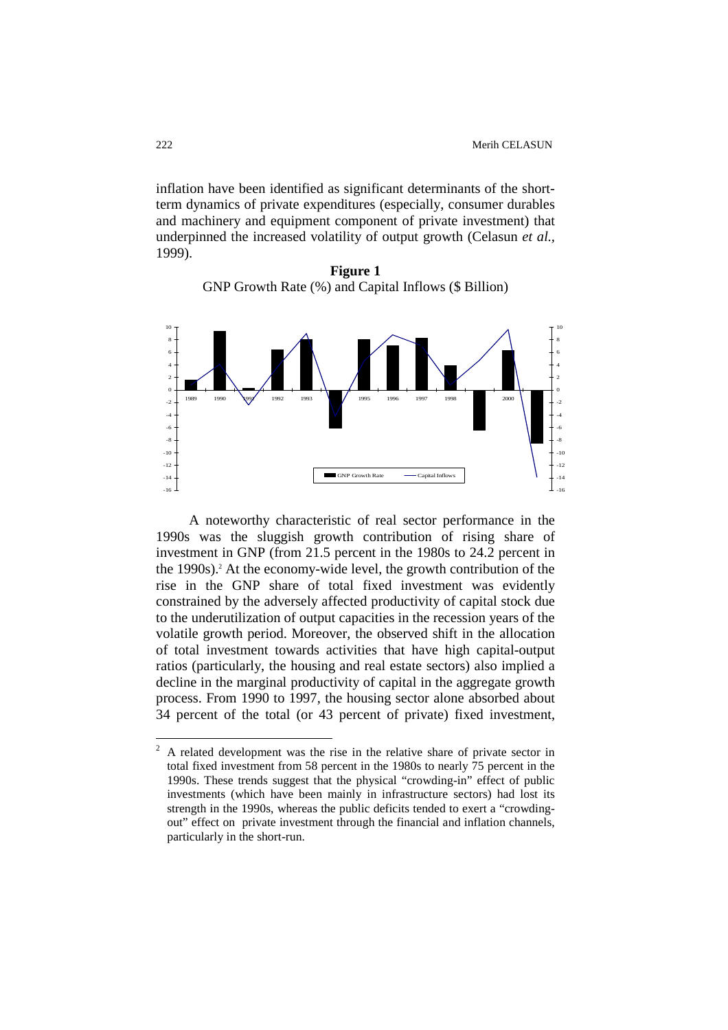inflation have been identified as significant determinants of the shortterm dynamics of private expenditures (especially, consumer durables and machinery and equipment component of private investment) that underpinned the increased volatility of output growth (Celasun *et al.,* 1999).

**Figure 1**  GNP Growth Rate (%) and Capital Inflows (\$ Billion)



A noteworthy characteristic of real sector performance in the 1990s was the sluggish growth contribution of rising share of investment in GNP (from 21.5 percent in the 1980s to 24.2 percent in the 1990s).<sup>2</sup> At the economy-wide level, the growth contribution of the rise in the GNP share of total fixed investment was evidently constrained by the adversely affected productivity of capital stock due to the underutilization of output capacities in the recession years of the volatile growth period. Moreover, the observed shift in the allocation of total investment towards activities that have high capital-output ratios (particularly, the housing and real estate sectors) also implied a decline in the marginal productivity of capital in the aggregate growth process. From 1990 to 1997, the housing sector alone absorbed about 34 percent of the total (or 43 percent of private) fixed investment,

 $\frac{1}{2}$  A related development was the rise in the relative share of private sector in total fixed investment from 58 percent in the 1980s to nearly 75 percent in the 1990s. These trends suggest that the physical "crowding-in" effect of public investments (which have been mainly in infrastructure sectors) had lost its strength in the 1990s, whereas the public deficits tended to exert a "crowdingout" effect on private investment through the financial and inflation channels, particularly in the short-run.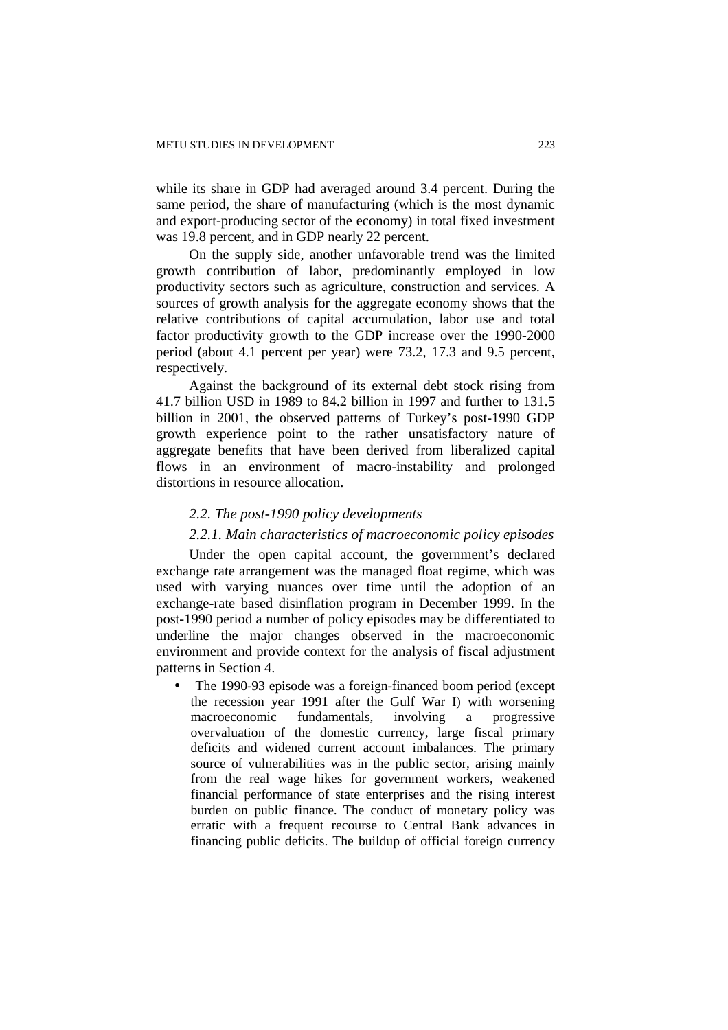while its share in GDP had averaged around 3.4 percent. During the same period, the share of manufacturing (which is the most dynamic and export-producing sector of the economy) in total fixed investment was 19.8 percent, and in GDP nearly 22 percent.

On the supply side, another unfavorable trend was the limited growth contribution of labor, predominantly employed in low productivity sectors such as agriculture, construction and services. A sources of growth analysis for the aggregate economy shows that the relative contributions of capital accumulation, labor use and total factor productivity growth to the GDP increase over the 1990-2000 period (about 4.1 percent per year) were 73.2, 17.3 and 9.5 percent, respectively.

Against the background of its external debt stock rising from 41.7 billion USD in 1989 to 84.2 billion in 1997 and further to 131.5 billion in 2001, the observed patterns of Turkey's post-1990 GDP growth experience point to the rather unsatisfactory nature of aggregate benefits that have been derived from liberalized capital flows in an environment of macro-instability and prolonged distortions in resource allocation.

#### *2.2. The post-1990 policy developments*

# *2.2.1. Main characteristics of macroeconomic policy episodes*

Under the open capital account, the government's declared exchange rate arrangement was the managed float regime, which was used with varying nuances over time until the adoption of an exchange-rate based disinflation program in December 1999. In the post-1990 period a number of policy episodes may be differentiated to underline the major changes observed in the macroeconomic environment and provide context for the analysis of fiscal adjustment patterns in Section 4.

• The 1990-93 episode was a foreign-financed boom period (except the recession year 1991 after the Gulf War I) with worsening macroeconomic fundamentals, involving a progressive overvaluation of the domestic currency, large fiscal primary deficits and widened current account imbalances. The primary source of vulnerabilities was in the public sector, arising mainly from the real wage hikes for government workers, weakened financial performance of state enterprises and the rising interest burden on public finance. The conduct of monetary policy was erratic with a frequent recourse to Central Bank advances in financing public deficits. The buildup of official foreign currency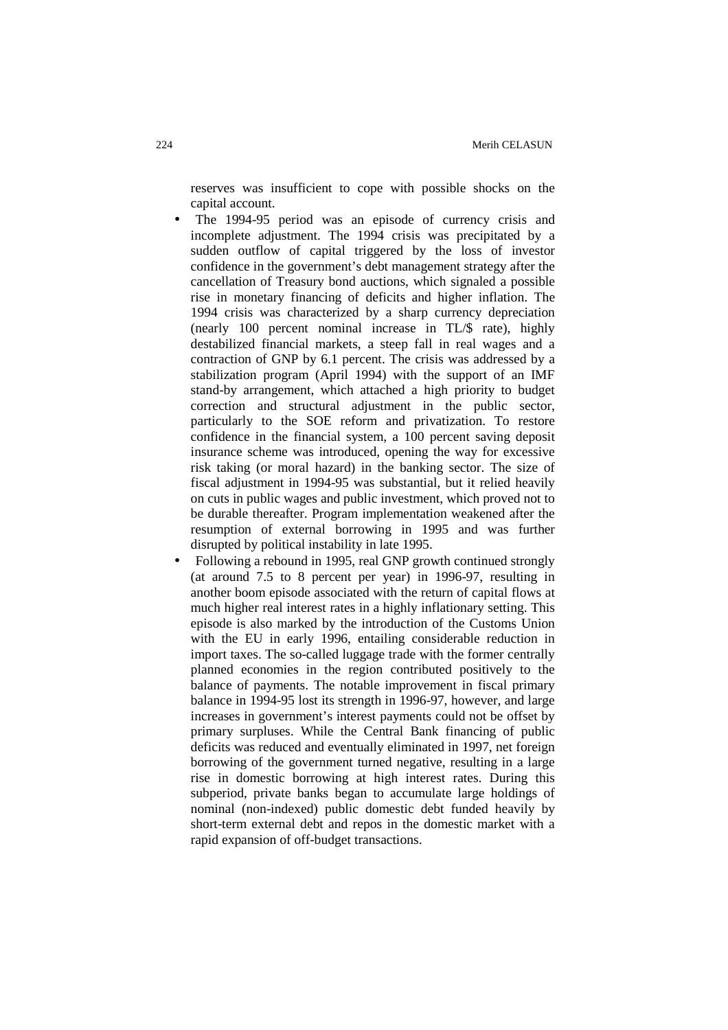reserves was insufficient to cope with possible shocks on the capital account.

- The 1994-95 period was an episode of currency crisis and incomplete adjustment. The 1994 crisis was precipitated by a sudden outflow of capital triggered by the loss of investor confidence in the government's debt management strategy after the cancellation of Treasury bond auctions, which signaled a possible rise in monetary financing of deficits and higher inflation. The 1994 crisis was characterized by a sharp currency depreciation (nearly 100 percent nominal increase in TL/\$ rate), highly destabilized financial markets, a steep fall in real wages and a contraction of GNP by 6.1 percent. The crisis was addressed by a stabilization program (April 1994) with the support of an IMF stand-by arrangement, which attached a high priority to budget correction and structural adjustment in the public sector, particularly to the SOE reform and privatization. To restore confidence in the financial system, a 100 percent saving deposit insurance scheme was introduced, opening the way for excessive risk taking (or moral hazard) in the banking sector. The size of fiscal adjustment in 1994-95 was substantial, but it relied heavily on cuts in public wages and public investment, which proved not to be durable thereafter. Program implementation weakened after the resumption of external borrowing in 1995 and was further disrupted by political instability in late 1995.
- Following a rebound in 1995, real GNP growth continued strongly (at around 7.5 to 8 percent per year) in 1996-97, resulting in another boom episode associated with the return of capital flows at much higher real interest rates in a highly inflationary setting. This episode is also marked by the introduction of the Customs Union with the EU in early 1996, entailing considerable reduction in import taxes. The so-called luggage trade with the former centrally planned economies in the region contributed positively to the balance of payments. The notable improvement in fiscal primary balance in 1994-95 lost its strength in 1996-97, however, and large increases in government's interest payments could not be offset by primary surpluses. While the Central Bank financing of public deficits was reduced and eventually eliminated in 1997, net foreign borrowing of the government turned negative, resulting in a large rise in domestic borrowing at high interest rates. During this subperiod, private banks began to accumulate large holdings of nominal (non-indexed) public domestic debt funded heavily by short-term external debt and repos in the domestic market with a rapid expansion of off-budget transactions.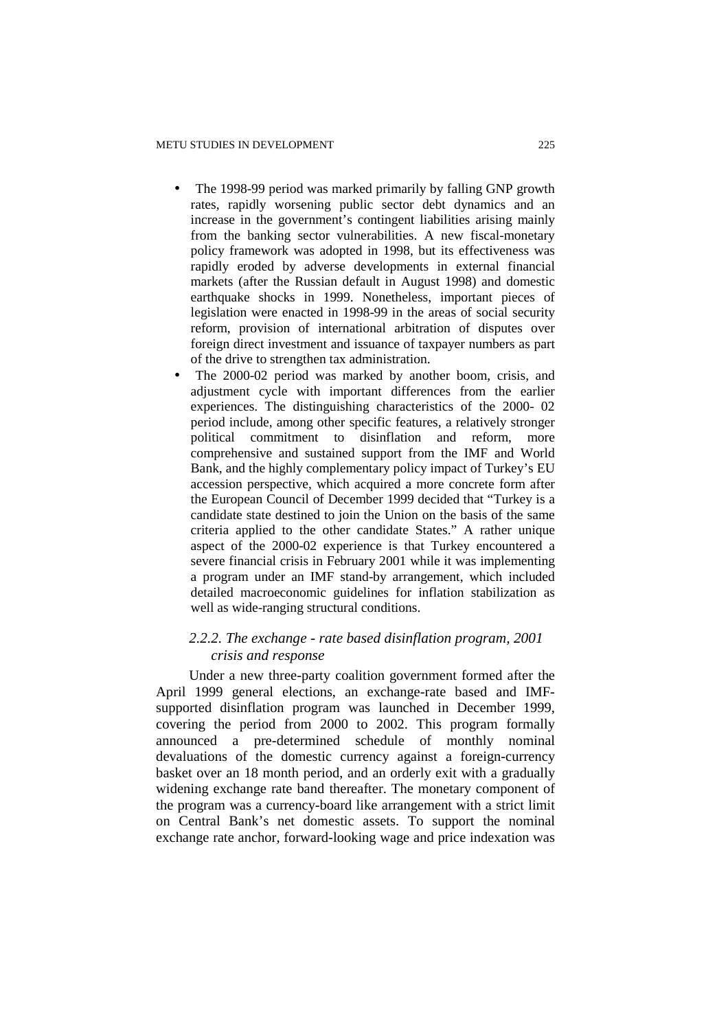- The 1998-99 period was marked primarily by falling GNP growth rates, rapidly worsening public sector debt dynamics and an increase in the government's contingent liabilities arising mainly from the banking sector vulnerabilities. A new fiscal-monetary policy framework was adopted in 1998, but its effectiveness was rapidly eroded by adverse developments in external financial markets (after the Russian default in August 1998) and domestic earthquake shocks in 1999. Nonetheless, important pieces of legislation were enacted in 1998-99 in the areas of social security reform, provision of international arbitration of disputes over foreign direct investment and issuance of taxpayer numbers as part of the drive to strengthen tax administration.
- The 2000-02 period was marked by another boom, crisis, and adjustment cycle with important differences from the earlier experiences. The distinguishing characteristics of the 2000- 02 period include, among other specific features, a relatively stronger political commitment to disinflation and reform, more comprehensive and sustained support from the IMF and World Bank, and the highly complementary policy impact of Turkey's EU accession perspective, which acquired a more concrete form after the European Council of December 1999 decided that "Turkey is a candidate state destined to join the Union on the basis of the same criteria applied to the other candidate States." A rather unique aspect of the 2000-02 experience is that Turkey encountered a severe financial crisis in February 2001 while it was implementing a program under an IMF stand-by arrangement, which included detailed macroeconomic guidelines for inflation stabilization as well as wide-ranging structural conditions.

# *2.2.2. The exchange - rate based disinflation program, 2001 crisis and response*

Under a new three-party coalition government formed after the April 1999 general elections, an exchange-rate based and IMFsupported disinflation program was launched in December 1999, covering the period from 2000 to 2002. This program formally announced a pre-determined schedule of monthly nominal devaluations of the domestic currency against a foreign-currency basket over an 18 month period, and an orderly exit with a gradually widening exchange rate band thereafter. The monetary component of the program was a currency-board like arrangement with a strict limit on Central Bank's net domestic assets. To support the nominal exchange rate anchor, forward-looking wage and price indexation was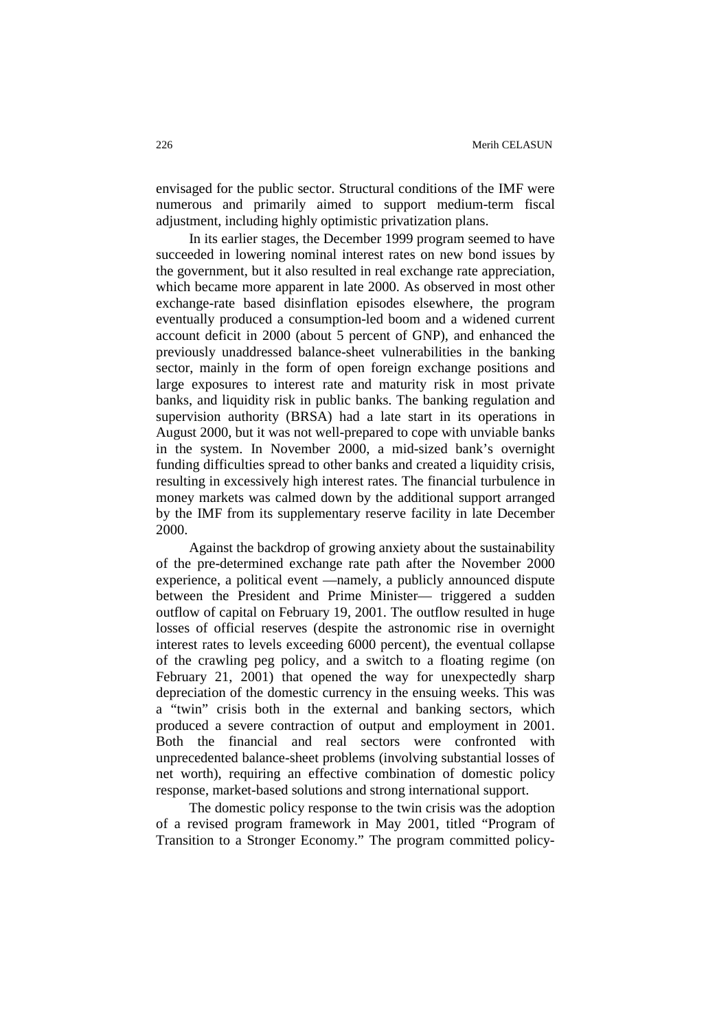envisaged for the public sector. Structural conditions of the IMF were numerous and primarily aimed to support medium-term fiscal adjustment, including highly optimistic privatization plans.

In its earlier stages, the December 1999 program seemed to have succeeded in lowering nominal interest rates on new bond issues by the government, but it also resulted in real exchange rate appreciation, which became more apparent in late 2000. As observed in most other exchange-rate based disinflation episodes elsewhere, the program eventually produced a consumption-led boom and a widened current account deficit in 2000 (about 5 percent of GNP), and enhanced the previously unaddressed balance-sheet vulnerabilities in the banking sector, mainly in the form of open foreign exchange positions and large exposures to interest rate and maturity risk in most private banks, and liquidity risk in public banks. The banking regulation and supervision authority (BRSA) had a late start in its operations in August 2000, but it was not well-prepared to cope with unviable banks in the system. In November 2000, a mid-sized bank's overnight funding difficulties spread to other banks and created a liquidity crisis, resulting in excessively high interest rates. The financial turbulence in money markets was calmed down by the additional support arranged by the IMF from its supplementary reserve facility in late December 2000.

Against the backdrop of growing anxiety about the sustainability of the pre-determined exchange rate path after the November 2000 experience, a political event —namely, a publicly announced dispute between the President and Prime Minister— triggered a sudden outflow of capital on February 19, 2001. The outflow resulted in huge losses of official reserves (despite the astronomic rise in overnight interest rates to levels exceeding 6000 percent), the eventual collapse of the crawling peg policy, and a switch to a floating regime (on February 21, 2001) that opened the way for unexpectedly sharp depreciation of the domestic currency in the ensuing weeks. This was a "twin" crisis both in the external and banking sectors, which produced a severe contraction of output and employment in 2001. Both the financial and real sectors were confronted with unprecedented balance-sheet problems (involving substantial losses of net worth), requiring an effective combination of domestic policy response, market-based solutions and strong international support.

The domestic policy response to the twin crisis was the adoption of a revised program framework in May 2001, titled "Program of Transition to a Stronger Economy." The program committed policy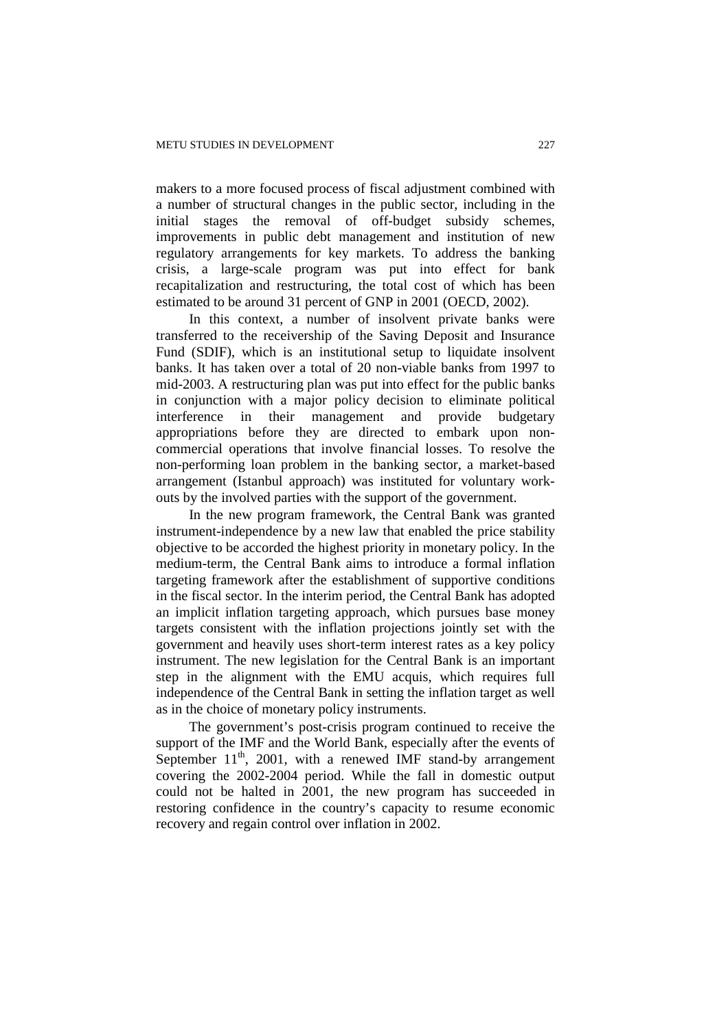makers to a more focused process of fiscal adjustment combined with a number of structural changes in the public sector, including in the initial stages the removal of off-budget subsidy schemes, improvements in public debt management and institution of new regulatory arrangements for key markets. To address the banking crisis, a large-scale program was put into effect for bank recapitalization and restructuring, the total cost of which has been estimated to be around 31 percent of GNP in 2001 (OECD, 2002).

In this context, a number of insolvent private banks were transferred to the receivership of the Saving Deposit and Insurance Fund (SDIF), which is an institutional setup to liquidate insolvent banks. It has taken over a total of 20 non-viable banks from 1997 to mid-2003. A restructuring plan was put into effect for the public banks in conjunction with a major policy decision to eliminate political interference in their management and provide budgetary appropriations before they are directed to embark upon noncommercial operations that involve financial losses. To resolve the non-performing loan problem in the banking sector, a market-based arrangement (Istanbul approach) was instituted for voluntary workouts by the involved parties with the support of the government.

In the new program framework, the Central Bank was granted instrument-independence by a new law that enabled the price stability objective to be accorded the highest priority in monetary policy. In the medium-term, the Central Bank aims to introduce a formal inflation targeting framework after the establishment of supportive conditions in the fiscal sector. In the interim period, the Central Bank has adopted an implicit inflation targeting approach, which pursues base money targets consistent with the inflation projections jointly set with the government and heavily uses short-term interest rates as a key policy instrument. The new legislation for the Central Bank is an important step in the alignment with the EMU acquis, which requires full independence of the Central Bank in setting the inflation target as well as in the choice of monetary policy instruments.

The government's post-crisis program continued to receive the support of the IMF and the World Bank, especially after the events of September  $11<sup>th</sup>$ , 2001, with a renewed IMF stand-by arrangement covering the 2002-2004 period. While the fall in domestic output could not be halted in 2001, the new program has succeeded in restoring confidence in the country's capacity to resume economic recovery and regain control over inflation in 2002.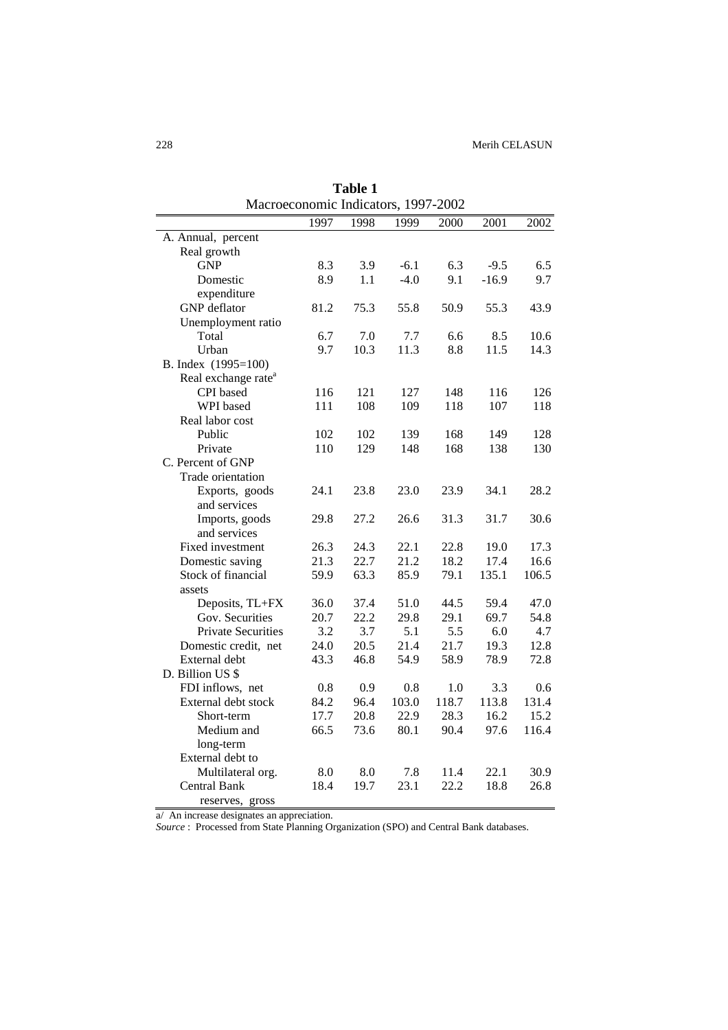| Macroeconomic Indicators, 1997-2002 |         |      |        |       |         |       |
|-------------------------------------|---------|------|--------|-------|---------|-------|
|                                     | 1997    | 1998 | 1999   | 2000  | 2001    | 2002  |
| A. Annual, percent                  |         |      |        |       |         |       |
| Real growth                         |         |      |        |       |         |       |
| <b>GNP</b>                          | 8.3     | 3.9  | $-6.1$ | 6.3   | $-9.5$  | 6.5   |
| Domestic                            | 8.9     | 1.1  | $-4.0$ | 9.1   | $-16.9$ | 9.7   |
| expenditure                         |         |      |        |       |         |       |
| <b>GNP</b> deflator                 | 81.2    | 75.3 | 55.8   | 50.9  | 55.3    | 43.9  |
| Unemployment ratio                  |         |      |        |       |         |       |
| Total                               | 6.7     | 7.0  | 7.7    | 6.6   | 8.5     | 10.6  |
| Urban                               | 9.7     | 10.3 | 11.3   | 8.8   | 11.5    | 14.3  |
| B. Index (1995=100)                 |         |      |        |       |         |       |
| Real exchange rate <sup>a</sup>     |         |      |        |       |         |       |
| CPI based                           | 116     | 121  | 127    | 148   | 116     | 126   |
| WPI based                           | 111     | 108  | 109    | 118   | 107     | 118   |
| Real labor cost                     |         |      |        |       |         |       |
| Public                              | 102     | 102  | 139    | 168   | 149     | 128   |
| Private                             | 110     | 129  | 148    | 168   | 138     | 130   |
| C. Percent of GNP                   |         |      |        |       |         |       |
| Trade orientation                   |         |      |        |       |         |       |
| Exports, goods                      | 24.1    | 23.8 | 23.0   | 23.9  | 34.1    | 28.2  |
| and services                        |         |      |        |       |         |       |
| Imports, goods                      | 29.8    | 27.2 | 26.6   | 31.3  | 31.7    | 30.6  |
| and services                        |         |      |        |       |         |       |
| Fixed investment                    | 26.3    | 24.3 | 22.1   | 22.8  | 19.0    | 17.3  |
| Domestic saving                     | 21.3    | 22.7 | 21.2   | 18.2  | 17.4    | 16.6  |
| Stock of financial                  | 59.9    | 63.3 | 85.9   | 79.1  | 135.1   | 106.5 |
| assets                              |         |      |        |       |         |       |
| Deposits, TL+FX                     | 36.0    | 37.4 | 51.0   | 44.5  | 59.4    | 47.0  |
| Gov. Securities                     | 20.7    | 22.2 | 29.8   | 29.1  | 69.7    | 54.8  |
| <b>Private Securities</b>           | 3.2     | 3.7  | 5.1    | 5.5   | 6.0     | 4.7   |
| Domestic credit, net                | 24.0    | 20.5 | 21.4   | 21.7  | 19.3    | 12.8  |
| External debt                       | 43.3    | 46.8 | 54.9   | 58.9  | 78.9    | 72.8  |
| D. Billion US \$                    |         |      |        |       |         |       |
| FDI inflows, net                    | 0.8     | 0.9  | 0.8    | 1.0   | 3.3     | 0.6   |
| External debt stock                 | 84.2    | 96.4 | 103.0  | 118.7 | 113.8   | 131.4 |
| Short-term                          | 17.7    | 20.8 | 22.9   | 28.3  | 16.2    | 15.2  |
| Medium and                          | 66.5    | 73.6 | 80.1   | 90.4  | 97.6    | 116.4 |
| long-term                           |         |      |        |       |         |       |
| External debt to                    |         |      |        |       |         |       |
| Multilateral org.                   | $8.0\,$ | 8.0  | 7.8    | 11.4  | 22.1    | 30.9  |
| <b>Central Bank</b>                 | 18.4    | 19.7 | 23.1   | 22.2  | 18.8    | 26.8  |
| reserves, gross                     |         |      |        |       |         |       |

**Table 1** 

a/ An increase designates an appreciation.

*Source* : Processed from State Planning Organization (SPO) and Central Bank databases.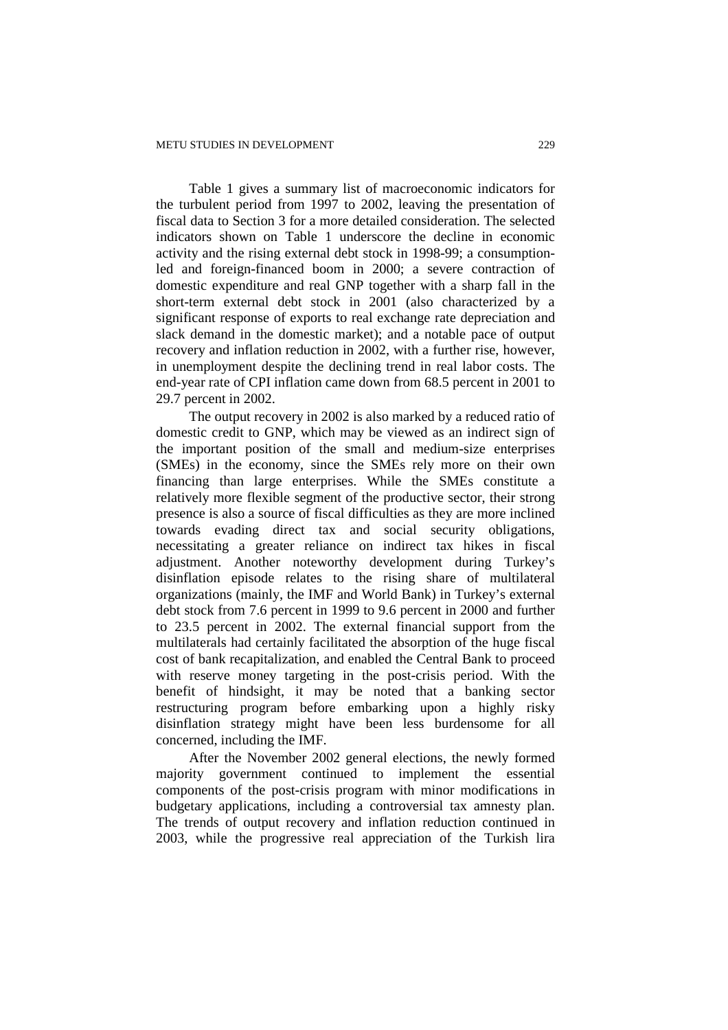Table 1 gives a summary list of macroeconomic indicators for the turbulent period from 1997 to 2002, leaving the presentation of fiscal data to Section 3 for a more detailed consideration. The selected indicators shown on Table 1 underscore the decline in economic activity and the rising external debt stock in 1998-99; a consumptionled and foreign-financed boom in 2000; a severe contraction of domestic expenditure and real GNP together with a sharp fall in the short-term external debt stock in 2001 (also characterized by a significant response of exports to real exchange rate depreciation and slack demand in the domestic market); and a notable pace of output recovery and inflation reduction in 2002, with a further rise, however, in unemployment despite the declining trend in real labor costs. The end-year rate of CPI inflation came down from 68.5 percent in 2001 to 29.7 percent in 2002.

The output recovery in 2002 is also marked by a reduced ratio of domestic credit to GNP, which may be viewed as an indirect sign of the important position of the small and medium-size enterprises (SMEs) in the economy, since the SMEs rely more on their own financing than large enterprises. While the SMEs constitute a relatively more flexible segment of the productive sector, their strong presence is also a source of fiscal difficulties as they are more inclined towards evading direct tax and social security obligations, necessitating a greater reliance on indirect tax hikes in fiscal adjustment. Another noteworthy development during Turkey's disinflation episode relates to the rising share of multilateral organizations (mainly, the IMF and World Bank) in Turkey's external debt stock from 7.6 percent in 1999 to 9.6 percent in 2000 and further to 23.5 percent in 2002. The external financial support from the multilaterals had certainly facilitated the absorption of the huge fiscal cost of bank recapitalization, and enabled the Central Bank to proceed with reserve money targeting in the post-crisis period. With the benefit of hindsight, it may be noted that a banking sector restructuring program before embarking upon a highly risky disinflation strategy might have been less burdensome for all concerned, including the IMF.

After the November 2002 general elections, the newly formed majority government continued to implement the essential components of the post-crisis program with minor modifications in budgetary applications, including a controversial tax amnesty plan. The trends of output recovery and inflation reduction continued in 2003, while the progressive real appreciation of the Turkish lira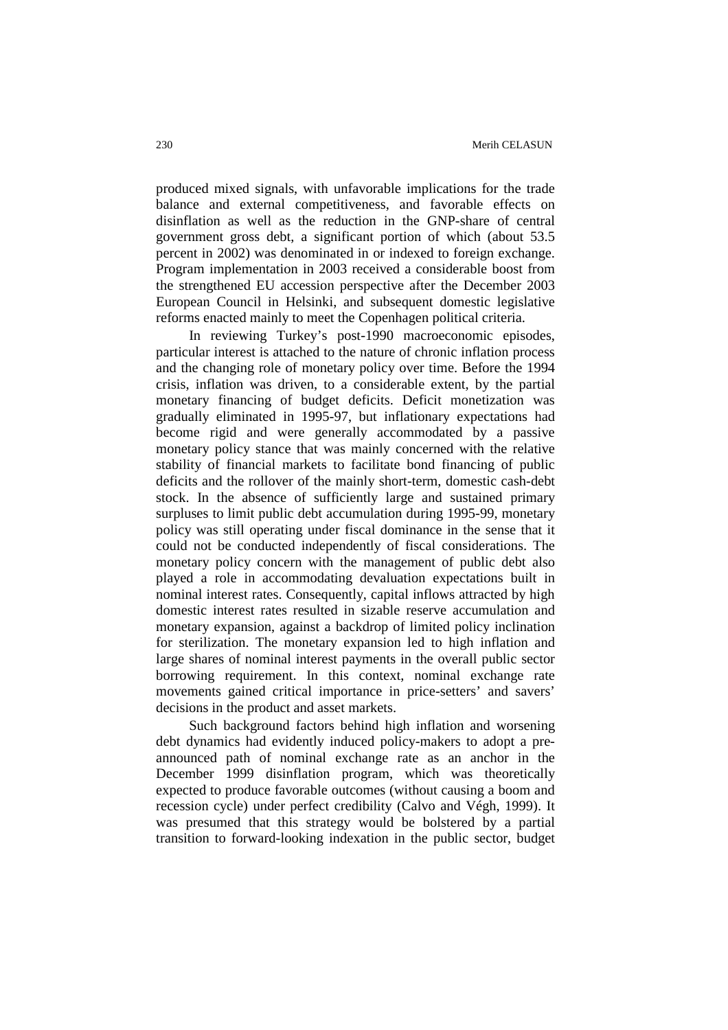produced mixed signals, with unfavorable implications for the trade balance and external competitiveness, and favorable effects on disinflation as well as the reduction in the GNP-share of central government gross debt, a significant portion of which (about 53.5 percent in 2002) was denominated in or indexed to foreign exchange. Program implementation in 2003 received a considerable boost from the strengthened EU accession perspective after the December 2003 European Council in Helsinki, and subsequent domestic legislative reforms enacted mainly to meet the Copenhagen political criteria.

In reviewing Turkey's post-1990 macroeconomic episodes, particular interest is attached to the nature of chronic inflation process and the changing role of monetary policy over time. Before the 1994 crisis, inflation was driven, to a considerable extent, by the partial monetary financing of budget deficits. Deficit monetization was gradually eliminated in 1995-97, but inflationary expectations had become rigid and were generally accommodated by a passive monetary policy stance that was mainly concerned with the relative stability of financial markets to facilitate bond financing of public deficits and the rollover of the mainly short-term, domestic cash-debt stock. In the absence of sufficiently large and sustained primary surpluses to limit public debt accumulation during 1995-99, monetary policy was still operating under fiscal dominance in the sense that it could not be conducted independently of fiscal considerations. The monetary policy concern with the management of public debt also played a role in accommodating devaluation expectations built in nominal interest rates. Consequently, capital inflows attracted by high domestic interest rates resulted in sizable reserve accumulation and monetary expansion, against a backdrop of limited policy inclination for sterilization. The monetary expansion led to high inflation and large shares of nominal interest payments in the overall public sector borrowing requirement. In this context, nominal exchange rate movements gained critical importance in price-setters' and savers' decisions in the product and asset markets.

Such background factors behind high inflation and worsening debt dynamics had evidently induced policy-makers to adopt a preannounced path of nominal exchange rate as an anchor in the December 1999 disinflation program, which was theoretically expected to produce favorable outcomes (without causing a boom and recession cycle) under perfect credibility (Calvo and Végh, 1999). It was presumed that this strategy would be bolstered by a partial transition to forward-looking indexation in the public sector, budget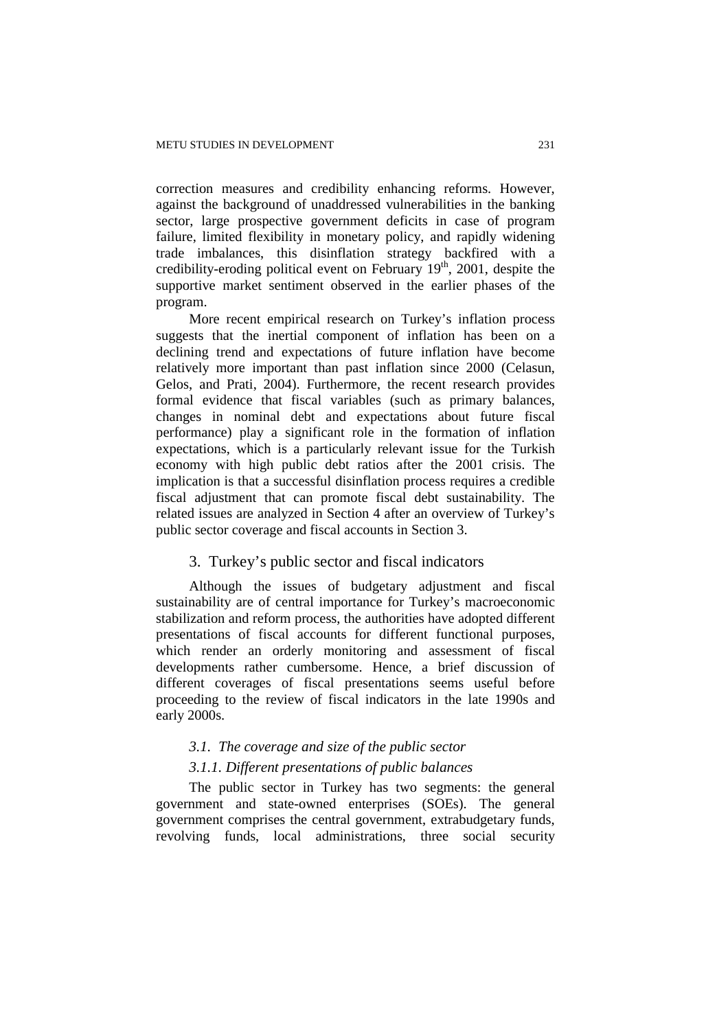correction measures and credibility enhancing reforms. However, against the background of unaddressed vulnerabilities in the banking sector, large prospective government deficits in case of program failure, limited flexibility in monetary policy, and rapidly widening trade imbalances, this disinflation strategy backfired with a credibility-eroding political event on February  $19<sup>th</sup>$ , 2001, despite the supportive market sentiment observed in the earlier phases of the program.

More recent empirical research on Turkey's inflation process suggests that the inertial component of inflation has been on a declining trend and expectations of future inflation have become relatively more important than past inflation since 2000 (Celasun, Gelos, and Prati, 2004). Furthermore, the recent research provides formal evidence that fiscal variables (such as primary balances, changes in nominal debt and expectations about future fiscal performance) play a significant role in the formation of inflation expectations, which is a particularly relevant issue for the Turkish economy with high public debt ratios after the 2001 crisis. The implication is that a successful disinflation process requires a credible fiscal adjustment that can promote fiscal debt sustainability. The related issues are analyzed in Section 4 after an overview of Turkey's public sector coverage and fiscal accounts in Section 3.

# 3. Turkey's public sector and fiscal indicators

Although the issues of budgetary adjustment and fiscal sustainability are of central importance for Turkey's macroeconomic stabilization and reform process, the authorities have adopted different presentations of fiscal accounts for different functional purposes, which render an orderly monitoring and assessment of fiscal developments rather cumbersome. Hence, a brief discussion of different coverages of fiscal presentations seems useful before proceeding to the review of fiscal indicators in the late 1990s and early 2000s.

# *3.1. The coverage and size of the public sector*

#### *3.1.1. Different presentations of public balances*

The public sector in Turkey has two segments: the general government and state-owned enterprises (SOEs). The general government comprises the central government, extrabudgetary funds, revolving funds, local administrations, three social security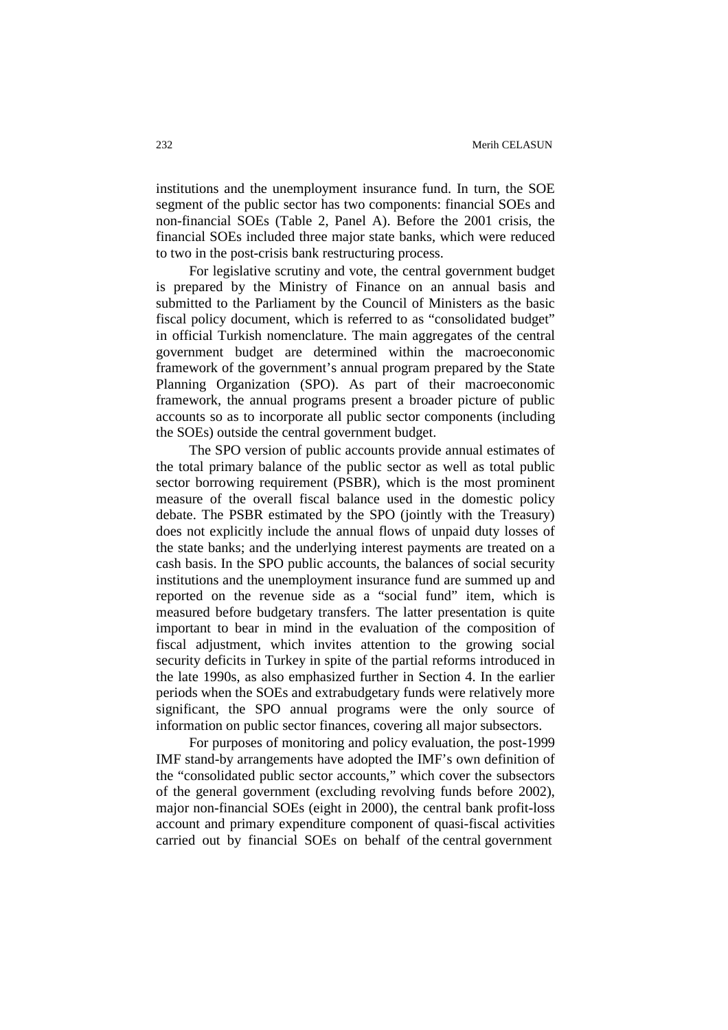institutions and the unemployment insurance fund. In turn, the SOE segment of the public sector has two components: financial SOEs and non-financial SOEs (Table 2, Panel A). Before the 2001 crisis, the financial SOEs included three major state banks, which were reduced to two in the post-crisis bank restructuring process.

For legislative scrutiny and vote, the central government budget is prepared by the Ministry of Finance on an annual basis and submitted to the Parliament by the Council of Ministers as the basic fiscal policy document, which is referred to as "consolidated budget" in official Turkish nomenclature. The main aggregates of the central government budget are determined within the macroeconomic framework of the government's annual program prepared by the State Planning Organization (SPO). As part of their macroeconomic framework, the annual programs present a broader picture of public accounts so as to incorporate all public sector components (including the SOEs) outside the central government budget.

The SPO version of public accounts provide annual estimates of the total primary balance of the public sector as well as total public sector borrowing requirement (PSBR), which is the most prominent measure of the overall fiscal balance used in the domestic policy debate. The PSBR estimated by the SPO (jointly with the Treasury) does not explicitly include the annual flows of unpaid duty losses of the state banks; and the underlying interest payments are treated on a cash basis. In the SPO public accounts, the balances of social security institutions and the unemployment insurance fund are summed up and reported on the revenue side as a "social fund" item, which is measured before budgetary transfers. The latter presentation is quite important to bear in mind in the evaluation of the composition of fiscal adjustment, which invites attention to the growing social security deficits in Turkey in spite of the partial reforms introduced in the late 1990s, as also emphasized further in Section 4. In the earlier periods when the SOEs and extrabudgetary funds were relatively more significant, the SPO annual programs were the only source of information on public sector finances, covering all major subsectors.

For purposes of monitoring and policy evaluation, the post-1999 IMF stand-by arrangements have adopted the IMF's own definition of the "consolidated public sector accounts," which cover the subsectors of the general government (excluding revolving funds before 2002), major non-financial SOEs (eight in 2000), the central bank profit-loss account and primary expenditure component of quasi-fiscal activities carried out by financial SOEs on behalf of the central government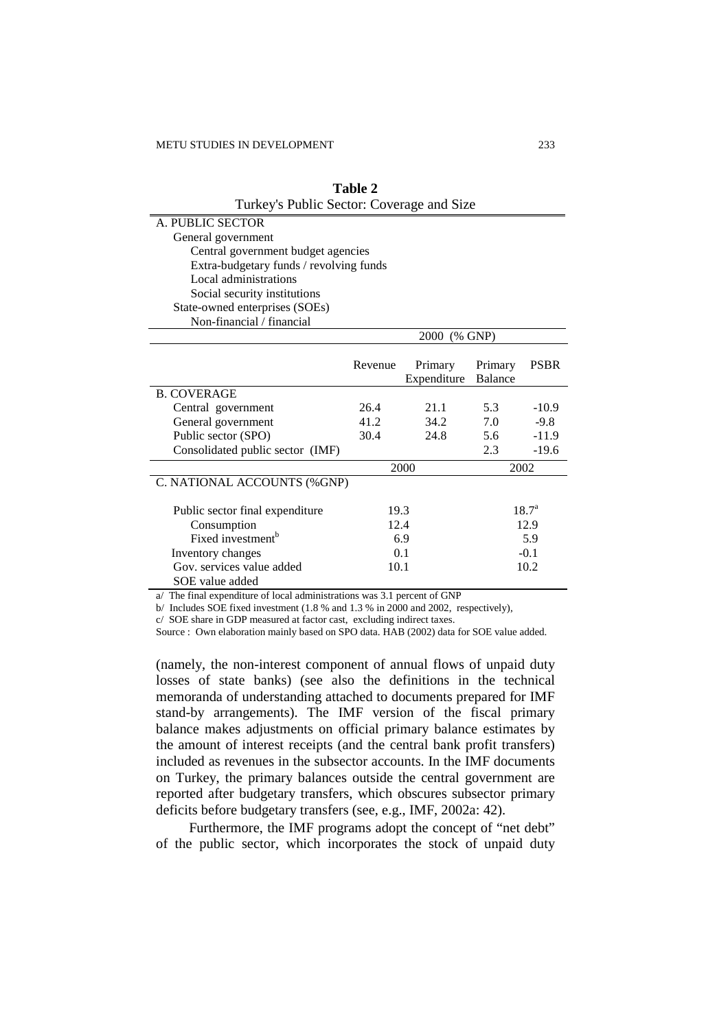| Turkey's Public Sector: Coverage and Size |               |              |                |                |  |  |
|-------------------------------------------|---------------|--------------|----------------|----------------|--|--|
| A. PUBLIC SECTOR                          |               |              |                |                |  |  |
| General government                        |               |              |                |                |  |  |
| Central government budget agencies        |               |              |                |                |  |  |
| Extra-budgetary funds / revolving funds   |               |              |                |                |  |  |
| Local administrations                     |               |              |                |                |  |  |
| Social security institutions              |               |              |                |                |  |  |
| State-owned enterprises (SOEs)            |               |              |                |                |  |  |
| Non-financial / financial                 |               |              |                |                |  |  |
|                                           |               | 2000 (% GNP) |                |                |  |  |
|                                           |               |              |                |                |  |  |
|                                           | Revenue       | Primary      | Primary        | <b>PSBR</b>    |  |  |
|                                           |               | Expenditure  | <b>Balance</b> |                |  |  |
| <b>B. COVERAGE</b>                        |               |              |                |                |  |  |
| Central government                        | 26.4          | 21.1         | 5.3            | $-10.9$        |  |  |
| General government                        | 41.2          | 34.2         | 7.0            | $-9.8$         |  |  |
| Public sector (SPO)                       | 30.4          | 24.8         | 5.6            | $-11.9$        |  |  |
| Consolidated public sector (IMF)          |               |              | 2.3            | $-19.6$        |  |  |
|                                           |               | 2000         | 2002           |                |  |  |
| C. NATIONAL ACCOUNTS (%GNP)               |               |              |                |                |  |  |
| Public sector final expenditure           | 19.3          |              |                | $18.7^{\rm a}$ |  |  |
| Consumption                               | 12.4<br>12.9  |              |                |                |  |  |
| Fixed investment <sup>b</sup>             | 6.9<br>5.9    |              |                |                |  |  |
| Inventory changes                         | 0.1<br>$-0.1$ |              |                |                |  |  |
| Gov. services value added                 | 10.1          |              |                | 10.2           |  |  |
| SOE value added                           |               |              |                |                |  |  |

**Table 2** 

a/ The final expenditure of local administrations was 3.1 percent of GNP

b/ Includes SOE fixed investment (1.8 % and 1.3 % in 2000 and 2002, respectively),

c/ SOE share in GDP measured at factor cast, excluding indirect taxes.

Source : Own elaboration mainly based on SPO data. HAB (2002) data for SOE value added.

(namely, the non-interest component of annual flows of unpaid duty losses of state banks) (see also the definitions in the technical memoranda of understanding attached to documents prepared for IMF stand-by arrangements). The IMF version of the fiscal primary balance makes adjustments on official primary balance estimates by the amount of interest receipts (and the central bank profit transfers) included as revenues in the subsector accounts. In the IMF documents on Turkey, the primary balances outside the central government are reported after budgetary transfers, which obscures subsector primary deficits before budgetary transfers (see, e.g., IMF, 2002a: 42).

Furthermore, the IMF programs adopt the concept of "net debt" of the public sector, which incorporates the stock of unpaid duty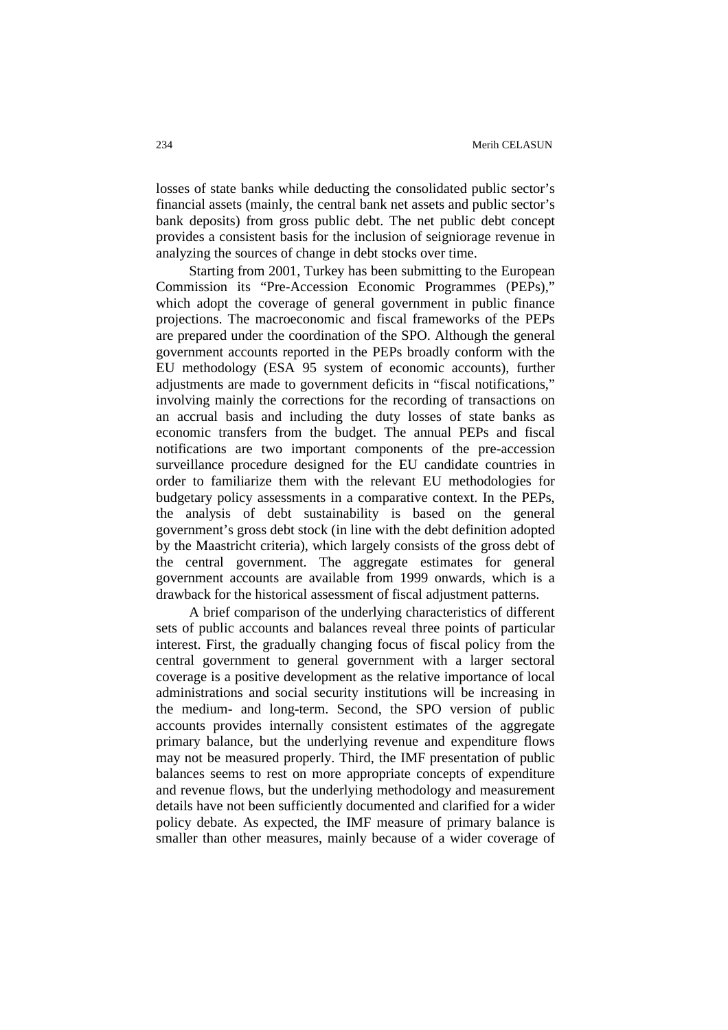losses of state banks while deducting the consolidated public sector's financial assets (mainly, the central bank net assets and public sector's bank deposits) from gross public debt. The net public debt concept provides a consistent basis for the inclusion of seigniorage revenue in analyzing the sources of change in debt stocks over time.

Starting from 2001, Turkey has been submitting to the European Commission its "Pre-Accession Economic Programmes (PEPs)," which adopt the coverage of general government in public finance projections. The macroeconomic and fiscal frameworks of the PEPs are prepared under the coordination of the SPO. Although the general government accounts reported in the PEPs broadly conform with the EU methodology (ESA 95 system of economic accounts), further adjustments are made to government deficits in "fiscal notifications," involving mainly the corrections for the recording of transactions on an accrual basis and including the duty losses of state banks as economic transfers from the budget. The annual PEPs and fiscal notifications are two important components of the pre-accession surveillance procedure designed for the EU candidate countries in order to familiarize them with the relevant EU methodologies for budgetary policy assessments in a comparative context. In the PEPs, the analysis of debt sustainability is based on the general government's gross debt stock (in line with the debt definition adopted by the Maastricht criteria), which largely consists of the gross debt of the central government. The aggregate estimates for general government accounts are available from 1999 onwards, which is a drawback for the historical assessment of fiscal adjustment patterns.

A brief comparison of the underlying characteristics of different sets of public accounts and balances reveal three points of particular interest. First, the gradually changing focus of fiscal policy from the central government to general government with a larger sectoral coverage is a positive development as the relative importance of local administrations and social security institutions will be increasing in the medium- and long-term. Second, the SPO version of public accounts provides internally consistent estimates of the aggregate primary balance, but the underlying revenue and expenditure flows may not be measured properly. Third, the IMF presentation of public balances seems to rest on more appropriate concepts of expenditure and revenue flows, but the underlying methodology and measurement details have not been sufficiently documented and clarified for a wider policy debate. As expected, the IMF measure of primary balance is smaller than other measures, mainly because of a wider coverage of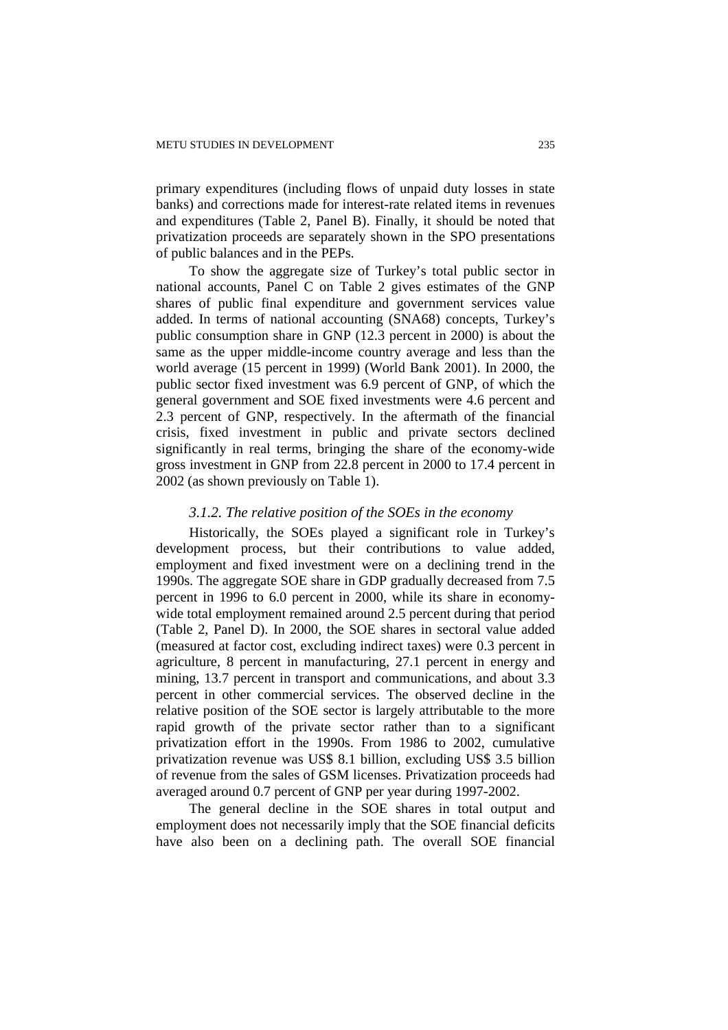primary expenditures (including flows of unpaid duty losses in state banks) and corrections made for interest-rate related items in revenues and expenditures (Table 2, Panel B). Finally, it should be noted that privatization proceeds are separately shown in the SPO presentations of public balances and in the PEPs.

To show the aggregate size of Turkey's total public sector in national accounts, Panel C on Table 2 gives estimates of the GNP shares of public final expenditure and government services value added. In terms of national accounting (SNA68) concepts, Turkey's public consumption share in GNP (12.3 percent in 2000) is about the same as the upper middle-income country average and less than the world average (15 percent in 1999) (World Bank 2001). In 2000, the public sector fixed investment was 6.9 percent of GNP, of which the general government and SOE fixed investments were 4.6 percent and 2.3 percent of GNP, respectively. In the aftermath of the financial crisis, fixed investment in public and private sectors declined significantly in real terms, bringing the share of the economy-wide gross investment in GNP from 22.8 percent in 2000 to 17.4 percent in 2002 (as shown previously on Table 1).

#### *3.1.2. The relative position of the SOEs in the economy*

Historically, the SOEs played a significant role in Turkey's development process, but their contributions to value added, employment and fixed investment were on a declining trend in the 1990s. The aggregate SOE share in GDP gradually decreased from 7.5 percent in 1996 to 6.0 percent in 2000, while its share in economywide total employment remained around 2.5 percent during that period (Table 2, Panel D). In 2000, the SOE shares in sectoral value added (measured at factor cost, excluding indirect taxes) were 0.3 percent in agriculture, 8 percent in manufacturing, 27.1 percent in energy and mining, 13.7 percent in transport and communications, and about 3.3 percent in other commercial services. The observed decline in the relative position of the SOE sector is largely attributable to the more rapid growth of the private sector rather than to a significant privatization effort in the 1990s. From 1986 to 2002, cumulative privatization revenue was US\$ 8.1 billion, excluding US\$ 3.5 billion of revenue from the sales of GSM licenses. Privatization proceeds had averaged around 0.7 percent of GNP per year during 1997-2002.

The general decline in the SOE shares in total output and employment does not necessarily imply that the SOE financial deficits have also been on a declining path. The overall SOE financial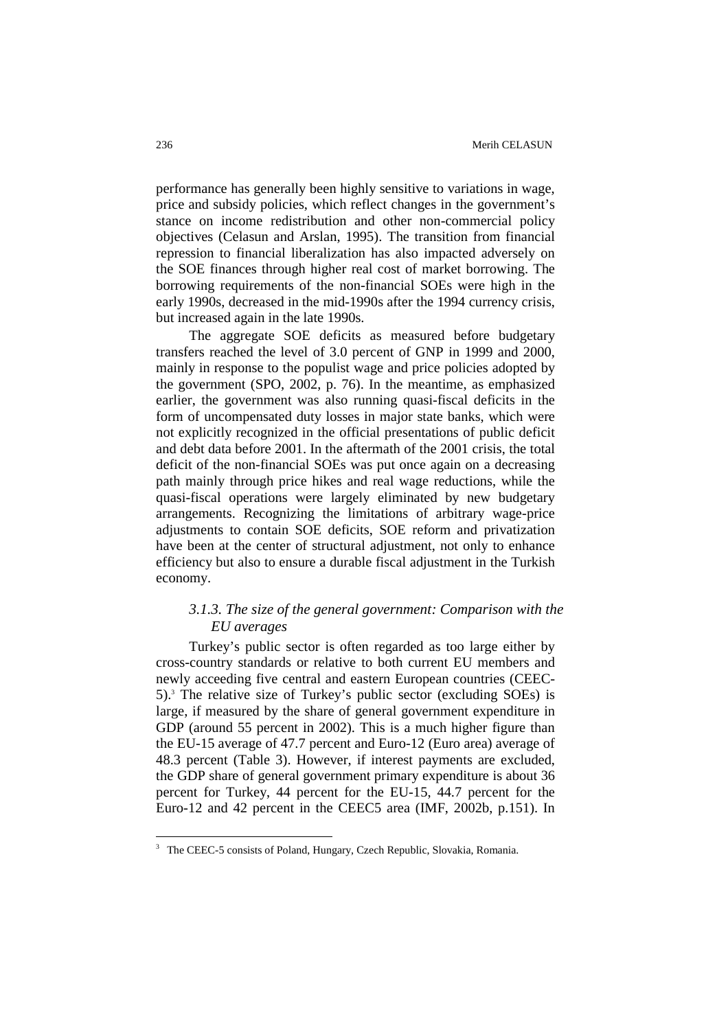performance has generally been highly sensitive to variations in wage, price and subsidy policies, which reflect changes in the government's stance on income redistribution and other non-commercial policy objectives (Celasun and Arslan, 1995). The transition from financial repression to financial liberalization has also impacted adversely on the SOE finances through higher real cost of market borrowing. The borrowing requirements of the non-financial SOEs were high in the early 1990s, decreased in the mid-1990s after the 1994 currency crisis, but increased again in the late 1990s.

The aggregate SOE deficits as measured before budgetary transfers reached the level of 3.0 percent of GNP in 1999 and 2000, mainly in response to the populist wage and price policies adopted by the government (SPO, 2002, p. 76). In the meantime, as emphasized earlier, the government was also running quasi-fiscal deficits in the form of uncompensated duty losses in major state banks, which were not explicitly recognized in the official presentations of public deficit and debt data before 2001. In the aftermath of the 2001 crisis, the total deficit of the non-financial SOEs was put once again on a decreasing path mainly through price hikes and real wage reductions, while the quasi-fiscal operations were largely eliminated by new budgetary arrangements. Recognizing the limitations of arbitrary wage-price adjustments to contain SOE deficits, SOE reform and privatization have been at the center of structural adjustment, not only to enhance efficiency but also to ensure a durable fiscal adjustment in the Turkish economy.

# *3.1.3. The size of the general government: Comparison with the EU averages*

Turkey's public sector is often regarded as too large either by cross-country standards or relative to both current EU members and newly acceeding five central and eastern European countries (CEEC-5).<sup>3</sup> The relative size of Turkey's public sector (excluding SOEs) is large, if measured by the share of general government expenditure in GDP (around 55 percent in 2002). This is a much higher figure than the EU-15 average of 47.7 percent and Euro-12 (Euro area) average of 48.3 percent (Table 3). However, if interest payments are excluded, the GDP share of general government primary expenditure is about 36 percent for Turkey, 44 percent for the EU-15, 44.7 percent for the Euro-12 and 42 percent in the CEEC5 area (IMF, 2002b, p.151). In

 $\overline{a}$ 

<sup>&</sup>lt;sup>3</sup> The CEEC-5 consists of Poland, Hungary, Czech Republic, Slovakia, Romania.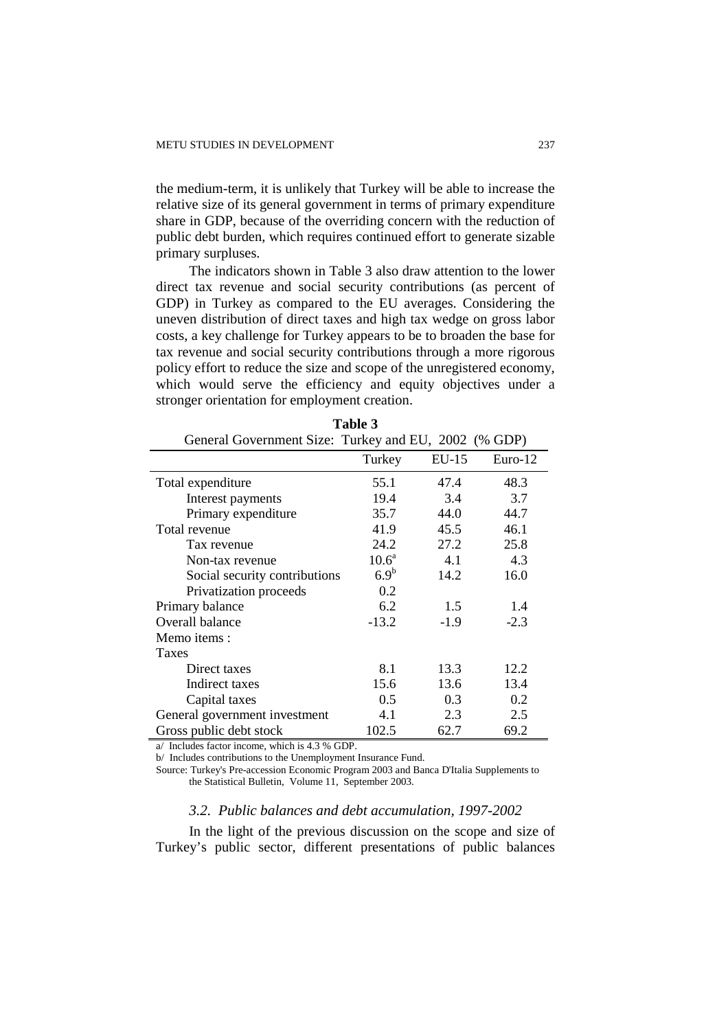the medium-term, it is unlikely that Turkey will be able to increase the relative size of its general government in terms of primary expenditure share in GDP, because of the overriding concern with the reduction of public debt burden, which requires continued effort to generate sizable primary surpluses.

The indicators shown in Table 3 also draw attention to the lower direct tax revenue and social security contributions (as percent of GDP) in Turkey as compared to the EU averages. Considering the uneven distribution of direct taxes and high tax wedge on gross labor costs, a key challenge for Turkey appears to be to broaden the base for tax revenue and social security contributions through a more rigorous policy effort to reduce the size and scope of the unregistered economy, which would serve the efficiency and equity objectives under a stronger orientation for employment creation.

| General Government Size: Turkey and EU, 2002 (% GDP) |                   |         |           |  |  |
|------------------------------------------------------|-------------------|---------|-----------|--|--|
|                                                      | Turkey            | $EU-15$ | $Euro-12$ |  |  |
| Total expenditure                                    | 55.1              | 47.4    | 48.3      |  |  |
| Interest payments                                    | 19.4              | 3.4     | 3.7       |  |  |
| Primary expenditure                                  | 35.7              | 44.0    | 44.7      |  |  |
| Total revenue                                        | 41.9              | 45.5    | 46.1      |  |  |
| Tax revenue                                          | 24.2              | 27.2    | 25.8      |  |  |
| Non-tax revenue                                      | 10.6 <sup>a</sup> | 4.1     | 4.3       |  |  |
| Social security contributions                        | 6.9 <sup>b</sup>  | 14.2    | 16.0      |  |  |
| Privatization proceeds                               | 0.2               |         |           |  |  |
| Primary balance                                      | 6.2               | 1.5     | 1.4       |  |  |
| Overall balance                                      | $-13.2$           | $-1.9$  | $-2.3$    |  |  |
| Memo items :                                         |                   |         |           |  |  |
| <b>Taxes</b>                                         |                   |         |           |  |  |
| Direct taxes                                         | 8.1               | 13.3    | 12.2      |  |  |
| Indirect taxes                                       | 15.6              | 13.6    | 13.4      |  |  |
| Capital taxes                                        | 0.5               | 0.3     | 0.2       |  |  |
| General government investment                        | 4.1               | 2.3     | 2.5       |  |  |
| Gross public debt stock                              | 102.5             | 62.7    | 69.2      |  |  |

| Table 3                                                                                                                                                                                                                              |  |
|--------------------------------------------------------------------------------------------------------------------------------------------------------------------------------------------------------------------------------------|--|
| $\cdots$ and $\mathcal{C}_{\mathbf{1}}^{\mathbf{1}}$ and $\mathcal{C}_{\mathbf{1}}^{\mathbf{1}}$ and $\mathcal{C}_{\mathbf{1}}^{\mathbf{1}}$ and $\mathcal{C}_{\mathbf{1}}^{\mathbf{1}}$ and $\mathcal{C}_{\mathbf{1}}^{\mathbf{1}}$ |  |

a/ Includes factor income, which is 4.3 % GDP.

b/ Includes contributions to the Unemployment Insurance Fund.

Source: Turkey's Pre-accession Economic Program 2003 and Banca D'Italia Supplements to the Statistical Bulletin, Volume 11, September 2003.

#### *3.2. Public balances and debt accumulation, 1997-2002*

In the light of the previous discussion on the scope and size of Turkey's public sector, different presentations of public balances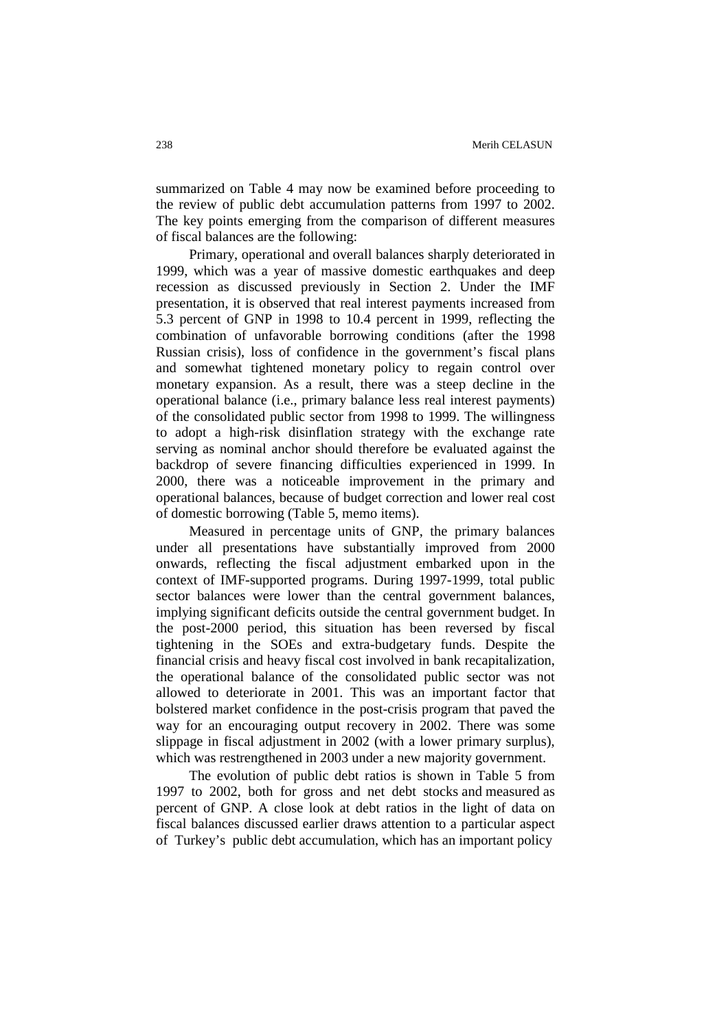summarized on Table 4 may now be examined before proceeding to the review of public debt accumulation patterns from 1997 to 2002. The key points emerging from the comparison of different measures of fiscal balances are the following:

Primary, operational and overall balances sharply deteriorated in 1999, which was a year of massive domestic earthquakes and deep recession as discussed previously in Section 2. Under the IMF presentation, it is observed that real interest payments increased from 5.3 percent of GNP in 1998 to 10.4 percent in 1999, reflecting the combination of unfavorable borrowing conditions (after the 1998 Russian crisis), loss of confidence in the government's fiscal plans and somewhat tightened monetary policy to regain control over monetary expansion. As a result, there was a steep decline in the operational balance (i.e., primary balance less real interest payments) of the consolidated public sector from 1998 to 1999. The willingness to adopt a high-risk disinflation strategy with the exchange rate serving as nominal anchor should therefore be evaluated against the backdrop of severe financing difficulties experienced in 1999. In 2000, there was a noticeable improvement in the primary and operational balances, because of budget correction and lower real cost of domestic borrowing (Table 5, memo items).

Measured in percentage units of GNP, the primary balances under all presentations have substantially improved from 2000 onwards, reflecting the fiscal adjustment embarked upon in the context of IMF-supported programs. During 1997-1999, total public sector balances were lower than the central government balances, implying significant deficits outside the central government budget. In the post-2000 period, this situation has been reversed by fiscal tightening in the SOEs and extra-budgetary funds. Despite the financial crisis and heavy fiscal cost involved in bank recapitalization, the operational balance of the consolidated public sector was not allowed to deteriorate in 2001. This was an important factor that bolstered market confidence in the post-crisis program that paved the way for an encouraging output recovery in 2002. There was some slippage in fiscal adjustment in 2002 (with a lower primary surplus), which was restrengthened in 2003 under a new majority government.

The evolution of public debt ratios is shown in Table 5 from 1997 to 2002, both for gross and net debt stocks and measured as percent of GNP. A close look at debt ratios in the light of data on fiscal balances discussed earlier draws attention to a particular aspect of Turkey's public debt accumulation, which has an important policy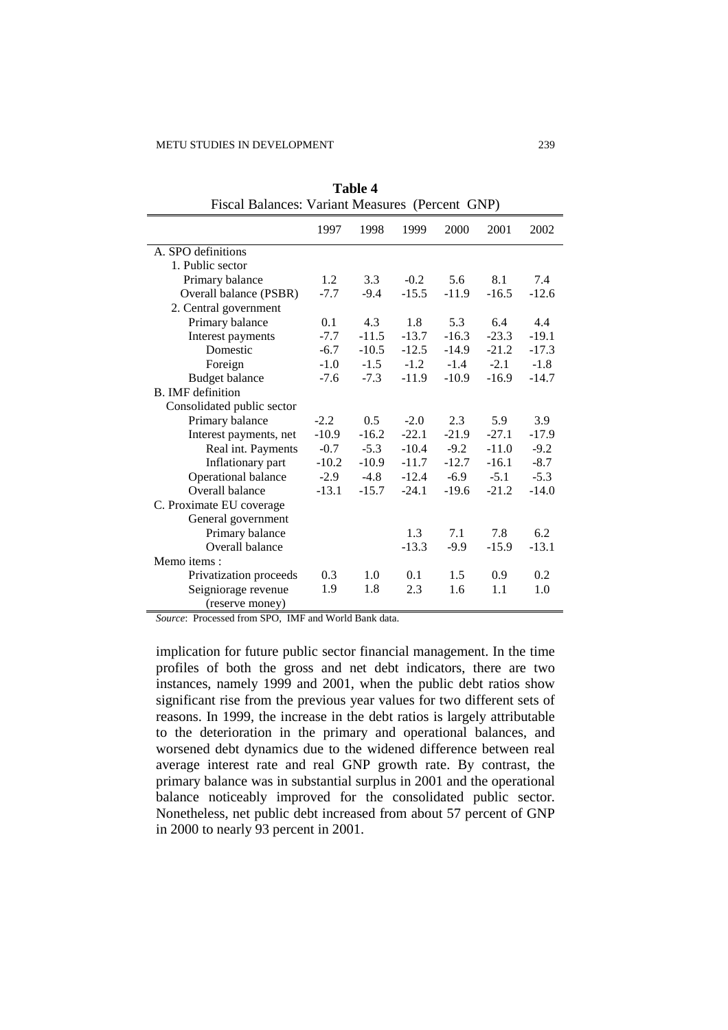| Fiscal Balances: Variant Measures (Percent GNP) |         |         |         |         |         |         |
|-------------------------------------------------|---------|---------|---------|---------|---------|---------|
|                                                 | 1997    | 1998    | 1999    | 2000    | 2001    | 2002    |
| A. SPO definitions                              |         |         |         |         |         |         |
| 1. Public sector                                |         |         |         |         |         |         |
| Primary balance                                 | 1.2     | 3.3     | $-0.2$  | 5.6     | 8.1     | 7.4     |
| Overall balance (PSBR)                          | $-7.7$  | $-9.4$  | $-15.5$ | $-11.9$ | $-16.5$ | $-12.6$ |
| 2. Central government                           |         |         |         |         |         |         |
| Primary balance                                 | 0.1     | 4.3     | 1.8     | 5.3     | 6.4     | 4.4     |
| Interest payments                               | $-7.7$  | $-11.5$ | $-13.7$ | $-16.3$ | $-23.3$ | $-19.1$ |
| Domestic                                        | $-6.7$  | $-10.5$ | $-12.5$ | $-14.9$ | $-21.2$ | $-17.3$ |
| Foreign                                         | $-1.0$  | $-1.5$  | $-1.2$  | $-1.4$  | $-2.1$  | $-1.8$  |
| <b>Budget balance</b>                           | $-7.6$  | $-7.3$  | $-11.9$ | $-10.9$ | $-16.9$ | $-14.7$ |
| <b>B.</b> IMF definition                        |         |         |         |         |         |         |
| Consolidated public sector                      |         |         |         |         |         |         |
| Primary balance                                 | $-2.2$  | 0.5     | $-2.0$  | 2.3     | 5.9     | 3.9     |
| Interest payments, net                          | $-10.9$ | $-16.2$ | $-22.1$ | $-21.9$ | $-27.1$ | $-17.9$ |
| Real int. Payments                              | $-0.7$  | $-5.3$  | $-10.4$ | $-9.2$  | $-11.0$ | $-9.2$  |
| Inflationary part                               | $-10.2$ | $-10.9$ | $-11.7$ | $-12.7$ | $-16.1$ | $-8.7$  |
| Operational balance                             | $-2.9$  | $-4.8$  | $-12.4$ | $-6.9$  | $-5.1$  | $-5.3$  |
| Overall balance                                 | $-13.1$ | $-15.7$ | $-24.1$ | $-19.6$ | $-21.2$ | $-14.0$ |
| C. Proximate EU coverage                        |         |         |         |         |         |         |
| General government                              |         |         |         |         |         |         |
| Primary balance                                 |         |         | 1.3     | 7.1     | 7.8     | 6.2     |
| Overall balance                                 |         |         | $-13.3$ | $-9.9$  | $-15.9$ | $-13.1$ |
| Memo items:                                     |         |         |         |         |         |         |
| Privatization proceeds                          | 0.3     | 1.0     | 0.1     | 1.5     | 0.9     | 0.2     |
| Seigniorage revenue                             | 1.9     | 1.8     | 2.3     | 1.6     | 1.1     | 1.0     |
| (reserve money)                                 |         |         |         |         |         |         |

**Table 4** 

*Source*: Processed from SPO, IMF and World Bank data.

implication for future public sector financial management. In the time profiles of both the gross and net debt indicators, there are two instances, namely 1999 and 2001, when the public debt ratios show significant rise from the previous year values for two different sets of reasons. In 1999, the increase in the debt ratios is largely attributable to the deterioration in the primary and operational balances, and worsened debt dynamics due to the widened difference between real average interest rate and real GNP growth rate. By contrast, the primary balance was in substantial surplus in 2001 and the operational balance noticeably improved for the consolidated public sector. Nonetheless, net public debt increased from about 57 percent of GNP in 2000 to nearly 93 percent in 2001.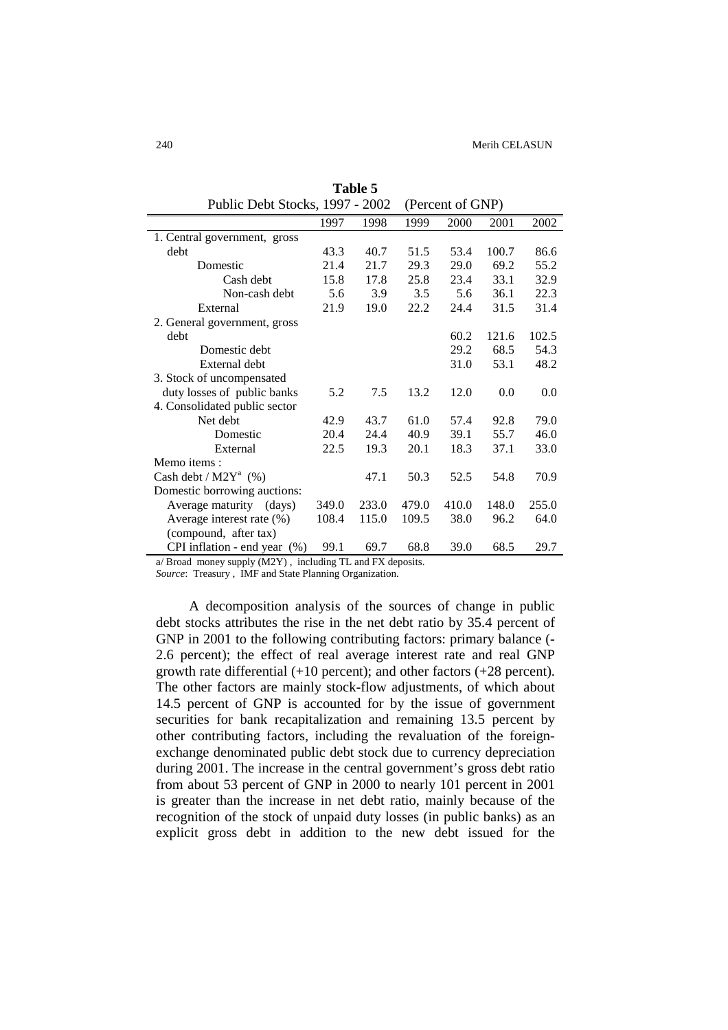| Public Debt Stocks, 1997 - 2002 |       | (Percent of GNP) |       |       |       |       |
|---------------------------------|-------|------------------|-------|-------|-------|-------|
|                                 | 1997  | 1998             | 1999  | 2000  | 2001  | 2002  |
| 1. Central government, gross    |       |                  |       |       |       |       |
| debt                            | 43.3  | 40.7             | 51.5  | 53.4  | 100.7 | 86.6  |
| Domestic                        | 21.4  | 21.7             | 29.3  | 29.0  | 69.2  | 55.2  |
| Cash debt                       | 15.8  | 17.8             | 25.8  | 23.4  | 33.1  | 32.9  |
| Non-cash debt                   | 5.6   | 3.9              | 3.5   | 5.6   | 36.1  | 22.3  |
| External                        | 21.9  | 19.0             | 22.2  | 24.4  | 31.5  | 31.4  |
| 2. General government, gross    |       |                  |       |       |       |       |
| debt                            |       |                  |       | 60.2  | 121.6 | 102.5 |
| Domestic debt                   |       |                  |       | 29.2  | 68.5  | 54.3  |
| External debt                   |       |                  |       | 31.0  | 53.1  | 48.2  |
| 3. Stock of uncompensated       |       |                  |       |       |       |       |
| duty losses of public banks     | 5.2   | 7.5              | 13.2  | 12.0  | 0.0   | 0.0   |
| 4. Consolidated public sector   |       |                  |       |       |       |       |
| Net debt                        | 42.9  | 43.7             | 61.0  | 57.4  | 92.8  | 79.0  |
| Domestic                        | 20.4  | 24.4             | 40.9  | 39.1  | 55.7  | 46.0  |
| External                        | 22.5  | 19.3             | 20.1  | 18.3  | 37.1  | 33.0  |
| Memo items:                     |       |                  |       |       |       |       |
| Cash debt / $M2Y^a$ (%)         |       | 47.1             | 50.3  | 52.5  | 54.8  | 70.9  |
| Domestic borrowing auctions:    |       |                  |       |       |       |       |
| Average maturity (days)         | 349.0 | 233.0            | 479.0 | 410.0 | 148.0 | 255.0 |
| Average interest rate (%)       | 108.4 | 115.0            | 109.5 | 38.0  | 96.2  | 64.0  |
| (compound, after tax)           |       |                  |       |       |       |       |
| CPI inflation - end year $(\%)$ | 99.1  | 69.7             | 68.8  | 39.0  | 68.5  | 29.7  |

**Table 5** 

a/ Broad money supply (M2Y) , including TL and FX deposits.

*Source*: Treasury , IMF and State Planning Organization.

A decomposition analysis of the sources of change in public debt stocks attributes the rise in the net debt ratio by 35.4 percent of GNP in 2001 to the following contributing factors: primary balance (- 2.6 percent); the effect of real average interest rate and real GNP growth rate differential (+10 percent); and other factors (+28 percent). The other factors are mainly stock-flow adjustments, of which about 14.5 percent of GNP is accounted for by the issue of government securities for bank recapitalization and remaining 13.5 percent by other contributing factors, including the revaluation of the foreignexchange denominated public debt stock due to currency depreciation during 2001. The increase in the central government's gross debt ratio from about 53 percent of GNP in 2000 to nearly 101 percent in 2001 is greater than the increase in net debt ratio, mainly because of the recognition of the stock of unpaid duty losses (in public banks) as an explicit gross debt in addition to the new debt issued for the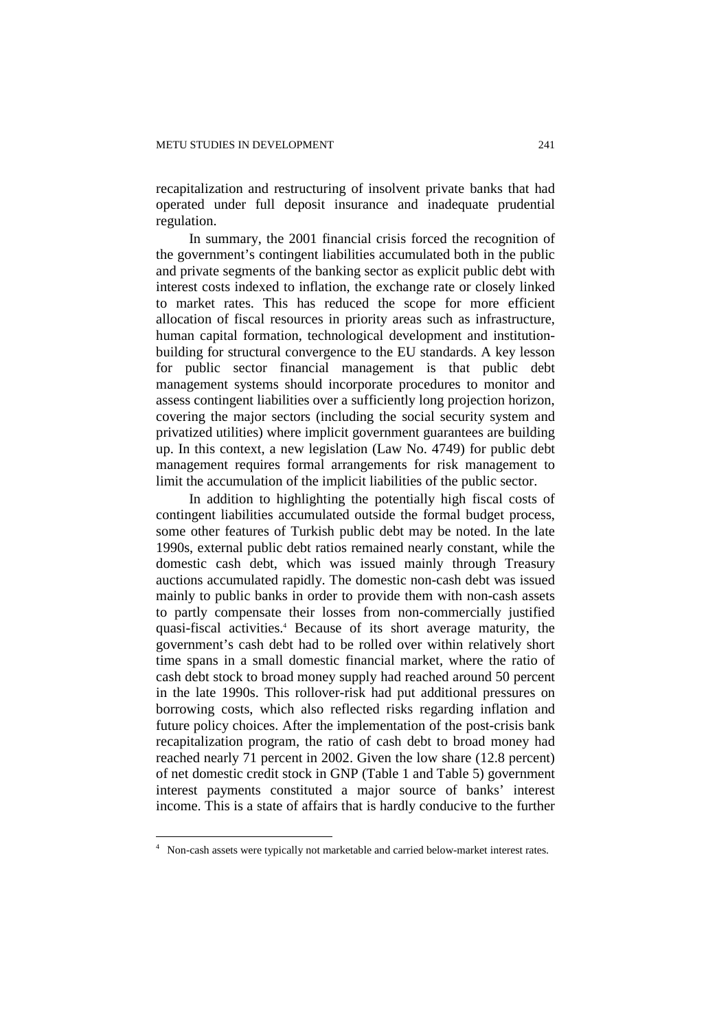recapitalization and restructuring of insolvent private banks that had operated under full deposit insurance and inadequate prudential regulation.

In summary, the 2001 financial crisis forced the recognition of the government's contingent liabilities accumulated both in the public and private segments of the banking sector as explicit public debt with interest costs indexed to inflation, the exchange rate or closely linked to market rates. This has reduced the scope for more efficient allocation of fiscal resources in priority areas such as infrastructure, human capital formation, technological development and institutionbuilding for structural convergence to the EU standards. A key lesson for public sector financial management is that public debt management systems should incorporate procedures to monitor and assess contingent liabilities over a sufficiently long projection horizon, covering the major sectors (including the social security system and privatized utilities) where implicit government guarantees are building up. In this context, a new legislation (Law No. 4749) for public debt management requires formal arrangements for risk management to limit the accumulation of the implicit liabilities of the public sector.

In addition to highlighting the potentially high fiscal costs of contingent liabilities accumulated outside the formal budget process, some other features of Turkish public debt may be noted. In the late 1990s, external public debt ratios remained nearly constant, while the domestic cash debt, which was issued mainly through Treasury auctions accumulated rapidly. The domestic non-cash debt was issued mainly to public banks in order to provide them with non-cash assets to partly compensate their losses from non-commercially justified quasi-fiscal activities.<sup>4</sup> Because of its short average maturity, the government's cash debt had to be rolled over within relatively short time spans in a small domestic financial market, where the ratio of cash debt stock to broad money supply had reached around 50 percent in the late 1990s. This rollover-risk had put additional pressures on borrowing costs, which also reflected risks regarding inflation and future policy choices. After the implementation of the post-crisis bank recapitalization program, the ratio of cash debt to broad money had reached nearly 71 percent in 2002. Given the low share (12.8 percent) of net domestic credit stock in GNP (Table 1 and Table 5) government interest payments constituted a major source of banks' interest income. This is a state of affairs that is hardly conducive to the further

 $\overline{a}$ 

<sup>&</sup>lt;sup>4</sup> Non-cash assets were typically not marketable and carried below-market interest rates.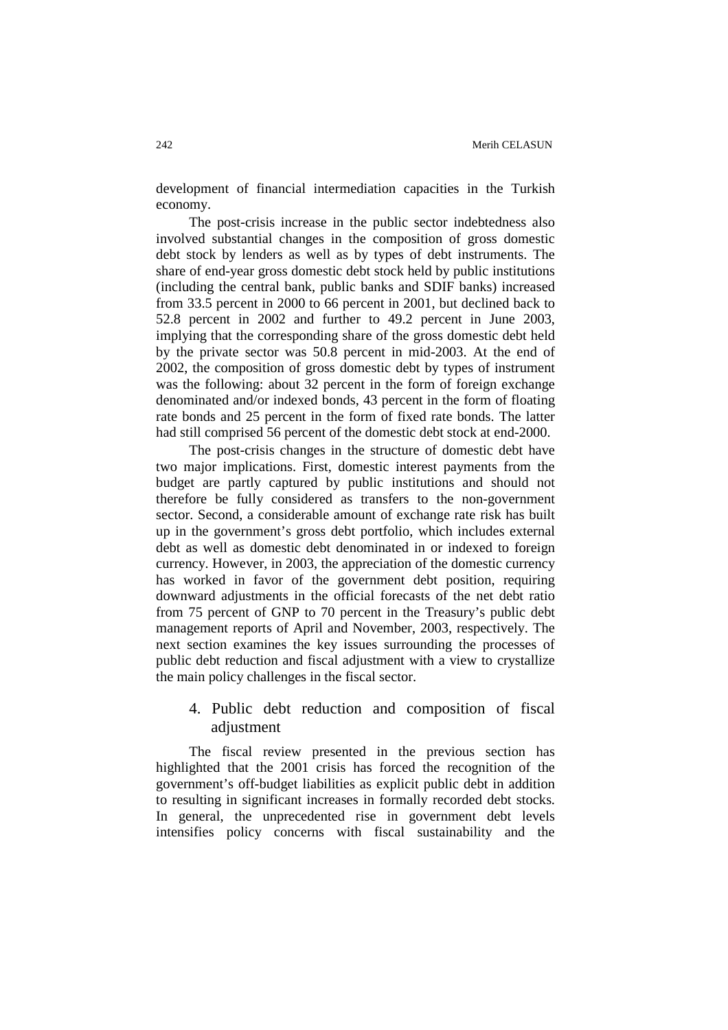development of financial intermediation capacities in the Turkish economy.

The post-crisis increase in the public sector indebtedness also involved substantial changes in the composition of gross domestic debt stock by lenders as well as by types of debt instruments. The share of end-year gross domestic debt stock held by public institutions (including the central bank, public banks and SDIF banks) increased from 33.5 percent in 2000 to 66 percent in 2001, but declined back to 52.8 percent in 2002 and further to 49.2 percent in June 2003, implying that the corresponding share of the gross domestic debt held by the private sector was 50.8 percent in mid-2003. At the end of 2002, the composition of gross domestic debt by types of instrument was the following: about 32 percent in the form of foreign exchange denominated and/or indexed bonds, 43 percent in the form of floating rate bonds and 25 percent in the form of fixed rate bonds. The latter had still comprised 56 percent of the domestic debt stock at end-2000.

The post-crisis changes in the structure of domestic debt have two major implications. First, domestic interest payments from the budget are partly captured by public institutions and should not therefore be fully considered as transfers to the non-government sector. Second, a considerable amount of exchange rate risk has built up in the government's gross debt portfolio, which includes external debt as well as domestic debt denominated in or indexed to foreign currency. However, in 2003, the appreciation of the domestic currency has worked in favor of the government debt position, requiring downward adjustments in the official forecasts of the net debt ratio from 75 percent of GNP to 70 percent in the Treasury's public debt management reports of April and November, 2003, respectively. The next section examines the key issues surrounding the processes of public debt reduction and fiscal adjustment with a view to crystallize the main policy challenges in the fiscal sector.

# 4. Public debt reduction and composition of fiscal adjustment

The fiscal review presented in the previous section has highlighted that the 2001 crisis has forced the recognition of the government's off-budget liabilities as explicit public debt in addition to resulting in significant increases in formally recorded debt stocks. In general, the unprecedented rise in government debt levels intensifies policy concerns with fiscal sustainability and the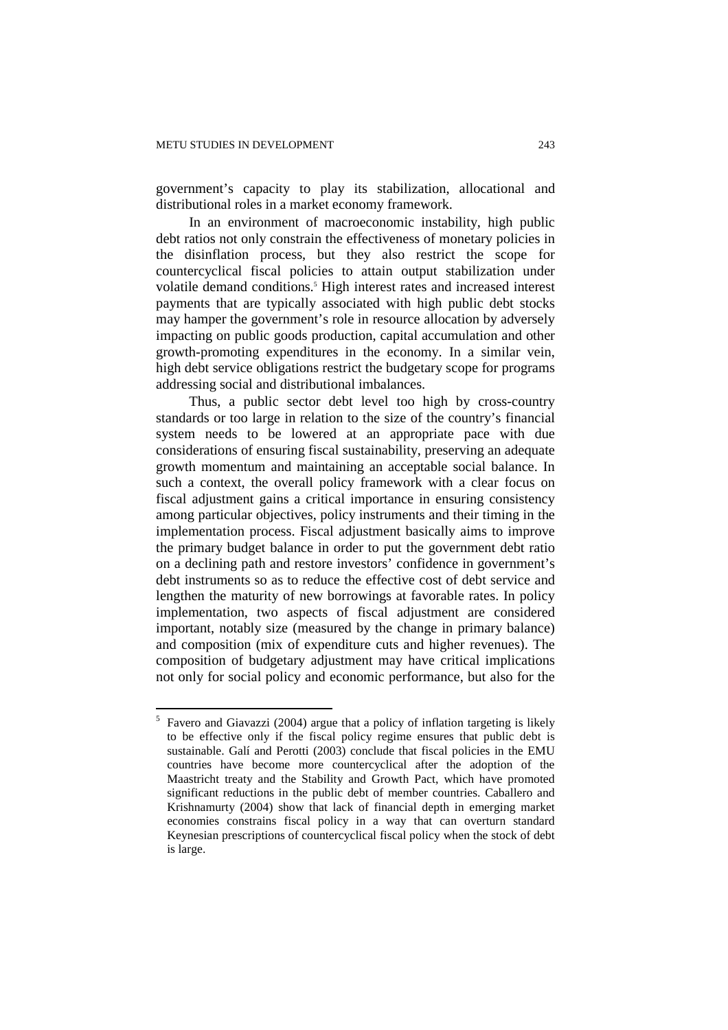government's capacity to play its stabilization, allocational and distributional roles in a market economy framework.

In an environment of macroeconomic instability, high public debt ratios not only constrain the effectiveness of monetary policies in the disinflation process, but they also restrict the scope for countercyclical fiscal policies to attain output stabilization under volatile demand conditions.<sup>5</sup> High interest rates and increased interest payments that are typically associated with high public debt stocks may hamper the government's role in resource allocation by adversely impacting on public goods production, capital accumulation and other growth-promoting expenditures in the economy. In a similar vein, high debt service obligations restrict the budgetary scope for programs addressing social and distributional imbalances.

Thus, a public sector debt level too high by cross-country standards or too large in relation to the size of the country's financial system needs to be lowered at an appropriate pace with due considerations of ensuring fiscal sustainability, preserving an adequate growth momentum and maintaining an acceptable social balance. In such a context, the overall policy framework with a clear focus on fiscal adjustment gains a critical importance in ensuring consistency among particular objectives, policy instruments and their timing in the implementation process. Fiscal adjustment basically aims to improve the primary budget balance in order to put the government debt ratio on a declining path and restore investors' confidence in government's debt instruments so as to reduce the effective cost of debt service and lengthen the maturity of new borrowings at favorable rates. In policy implementation, two aspects of fiscal adjustment are considered important, notably size (measured by the change in primary balance) and composition (mix of expenditure cuts and higher revenues). The composition of budgetary adjustment may have critical implications not only for social policy and economic performance, but also for the

 5 Favero and Giavazzi (2004) argue that a policy of inflation targeting is likely to be effective only if the fiscal policy regime ensures that public debt is sustainable. Galí and Perotti (2003) conclude that fiscal policies in the EMU countries have become more countercyclical after the adoption of the Maastricht treaty and the Stability and Growth Pact, which have promoted significant reductions in the public debt of member countries. Caballero and Krishnamurty (2004) show that lack of financial depth in emerging market economies constrains fiscal policy in a way that can overturn standard Keynesian prescriptions of countercyclical fiscal policy when the stock of debt is large.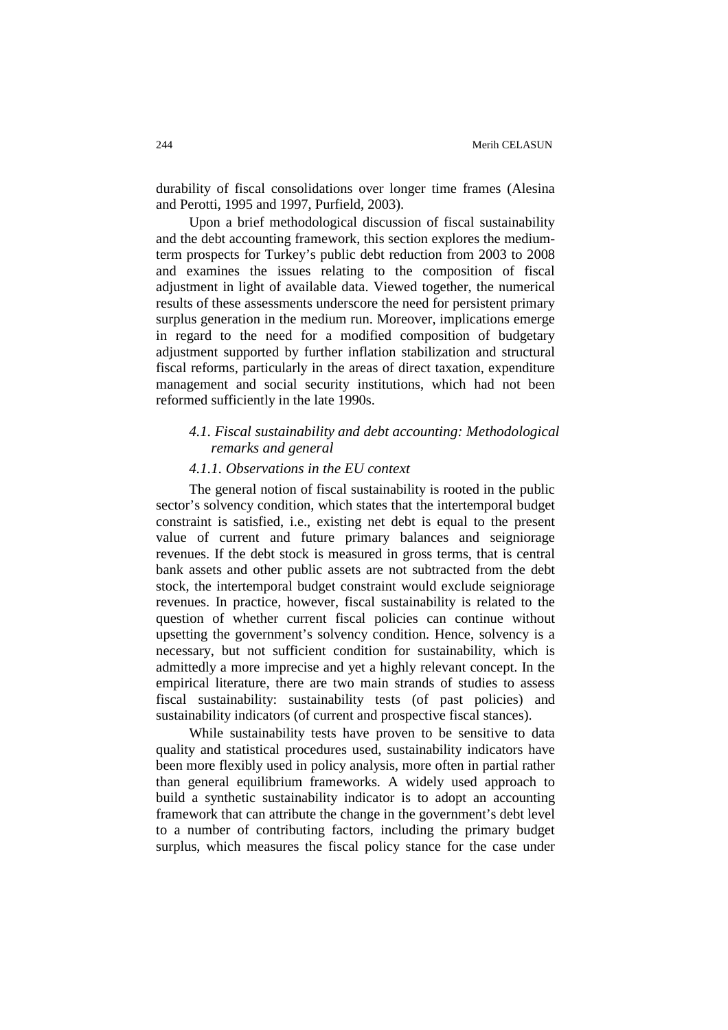durability of fiscal consolidations over longer time frames (Alesina and Perotti, 1995 and 1997, Purfield, 2003).

Upon a brief methodological discussion of fiscal sustainability and the debt accounting framework, this section explores the mediumterm prospects for Turkey's public debt reduction from 2003 to 2008 and examines the issues relating to the composition of fiscal adjustment in light of available data. Viewed together, the numerical results of these assessments underscore the need for persistent primary surplus generation in the medium run. Moreover, implications emerge in regard to the need for a modified composition of budgetary adjustment supported by further inflation stabilization and structural fiscal reforms, particularly in the areas of direct taxation, expenditure management and social security institutions, which had not been reformed sufficiently in the late 1990s.

# *4.1. Fiscal sustainability and debt accounting: Methodological remarks and general*

#### *4.1.1. Observations in the EU context*

The general notion of fiscal sustainability is rooted in the public sector's solvency condition, which states that the intertemporal budget constraint is satisfied, i.e., existing net debt is equal to the present value of current and future primary balances and seigniorage revenues. If the debt stock is measured in gross terms, that is central bank assets and other public assets are not subtracted from the debt stock, the intertemporal budget constraint would exclude seigniorage revenues. In practice, however, fiscal sustainability is related to the question of whether current fiscal policies can continue without upsetting the government's solvency condition. Hence, solvency is a necessary, but not sufficient condition for sustainability, which is admittedly a more imprecise and yet a highly relevant concept. In the empirical literature, there are two main strands of studies to assess fiscal sustainability: sustainability tests (of past policies) and sustainability indicators (of current and prospective fiscal stances).

While sustainability tests have proven to be sensitive to data quality and statistical procedures used, sustainability indicators have been more flexibly used in policy analysis, more often in partial rather than general equilibrium frameworks. A widely used approach to build a synthetic sustainability indicator is to adopt an accounting framework that can attribute the change in the government's debt level to a number of contributing factors, including the primary budget surplus, which measures the fiscal policy stance for the case under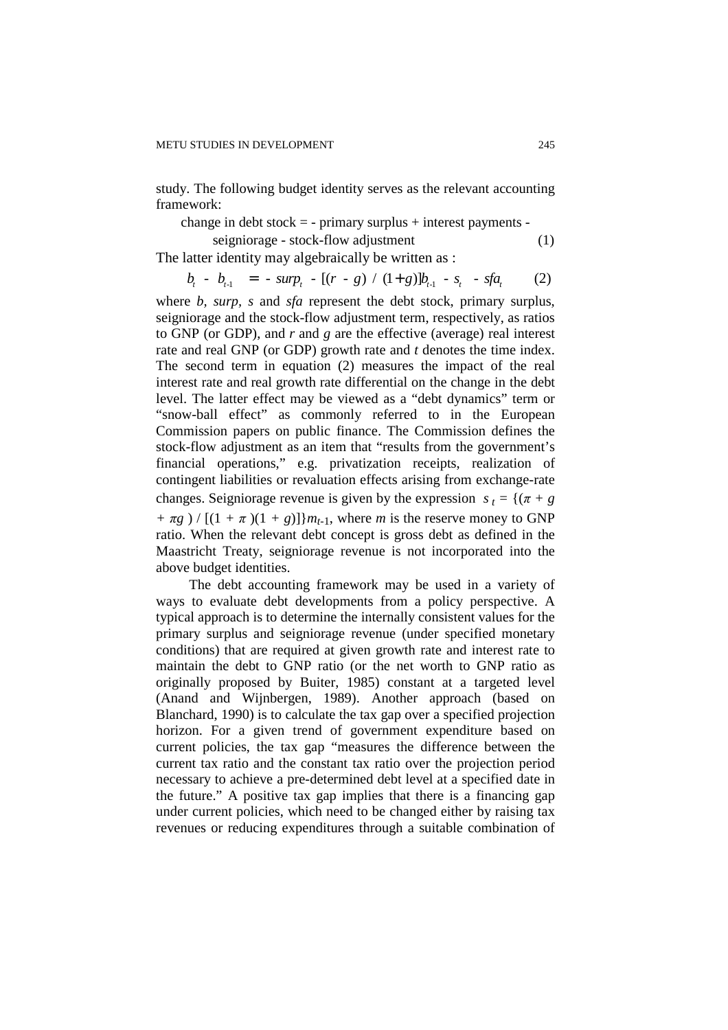study. The following budget identity serves as the relevant accounting framework:

change in debt stock  $=$  - primary surplus  $+$  interest payments -

seigniorage - stock-flow adjustment (1)

The latter identity may algebraically be written as :

$$
b_{t} - b_{t-1} = - \sup_{t} - [(r - g) / (1 + g)]b_{t-1} - s_{t} - sfa_{t} \qquad (2)
$$

where *b, surp, s* and *sfa* represent the debt stock, primary surplus, seigniorage and the stock-flow adjustment term, respectively, as ratios to GNP (or GDP), and *r* and *g* are the effective (average) real interest rate and real GNP (or GDP) growth rate and *t* denotes the time index. The second term in equation (2) measures the impact of the real interest rate and real growth rate differential on the change in the debt level. The latter effect may be viewed as a "debt dynamics" term or "snow-ball effect" as commonly referred to in the European Commission papers on public finance. The Commission defines the stock-flow adjustment as an item that "results from the government's financial operations," e.g. privatization receipts, realization of contingent liabilities or revaluation effects arising from exchange-rate changes. Seigniorage revenue is given by the expression  $s_t = \{(\pi + g)$ *+*  $\pi g$  ) / [(1 +  $\pi$ )(1 + *g*)]} $m_{t-1}$ , where *m* is the reserve money to GNP ratio. When the relevant debt concept is gross debt as defined in the Maastricht Treaty, seigniorage revenue is not incorporated into the above budget identities.

The debt accounting framework may be used in a variety of ways to evaluate debt developments from a policy perspective. A typical approach is to determine the internally consistent values for the primary surplus and seigniorage revenue (under specified monetary conditions) that are required at given growth rate and interest rate to maintain the debt to GNP ratio (or the net worth to GNP ratio as originally proposed by Buiter, 1985) constant at a targeted level (Anand and Wijnbergen, 1989). Another approach (based on Blanchard, 1990) is to calculate the tax gap over a specified projection horizon. For a given trend of government expenditure based on current policies, the tax gap "measures the difference between the current tax ratio and the constant tax ratio over the projection period necessary to achieve a pre-determined debt level at a specified date in the future." A positive tax gap implies that there is a financing gap under current policies, which need to be changed either by raising tax revenues or reducing expenditures through a suitable combination of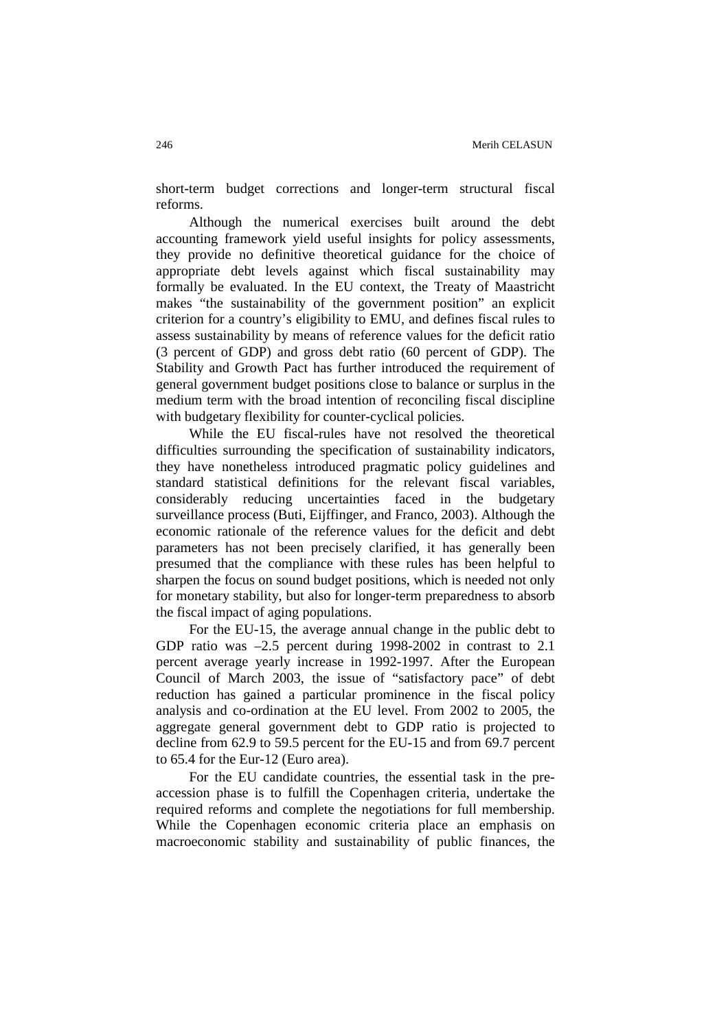short-term budget corrections and longer-term structural fiscal reforms.

Although the numerical exercises built around the debt accounting framework yield useful insights for policy assessments, they provide no definitive theoretical guidance for the choice of appropriate debt levels against which fiscal sustainability may formally be evaluated. In the EU context, the Treaty of Maastricht makes "the sustainability of the government position" an explicit criterion for a country's eligibility to EMU, and defines fiscal rules to assess sustainability by means of reference values for the deficit ratio (3 percent of GDP) and gross debt ratio (60 percent of GDP). The Stability and Growth Pact has further introduced the requirement of general government budget positions close to balance or surplus in the medium term with the broad intention of reconciling fiscal discipline with budgetary flexibility for counter-cyclical policies.

While the EU fiscal-rules have not resolved the theoretical difficulties surrounding the specification of sustainability indicators, they have nonetheless introduced pragmatic policy guidelines and standard statistical definitions for the relevant fiscal variables, considerably reducing uncertainties faced in the budgetary surveillance process (Buti, Eijffinger, and Franco, 2003). Although the economic rationale of the reference values for the deficit and debt parameters has not been precisely clarified, it has generally been presumed that the compliance with these rules has been helpful to sharpen the focus on sound budget positions, which is needed not only for monetary stability, but also for longer-term preparedness to absorb the fiscal impact of aging populations.

For the EU-15, the average annual change in the public debt to GDP ratio was –2.5 percent during 1998-2002 in contrast to 2.1 percent average yearly increase in 1992-1997. After the European Council of March 2003, the issue of "satisfactory pace" of debt reduction has gained a particular prominence in the fiscal policy analysis and co-ordination at the EU level. From 2002 to 2005, the aggregate general government debt to GDP ratio is projected to decline from 62.9 to 59.5 percent for the EU-15 and from 69.7 percent to 65.4 for the Eur-12 (Euro area).

For the EU candidate countries, the essential task in the preaccession phase is to fulfill the Copenhagen criteria, undertake the required reforms and complete the negotiations for full membership. While the Copenhagen economic criteria place an emphasis on macroeconomic stability and sustainability of public finances, the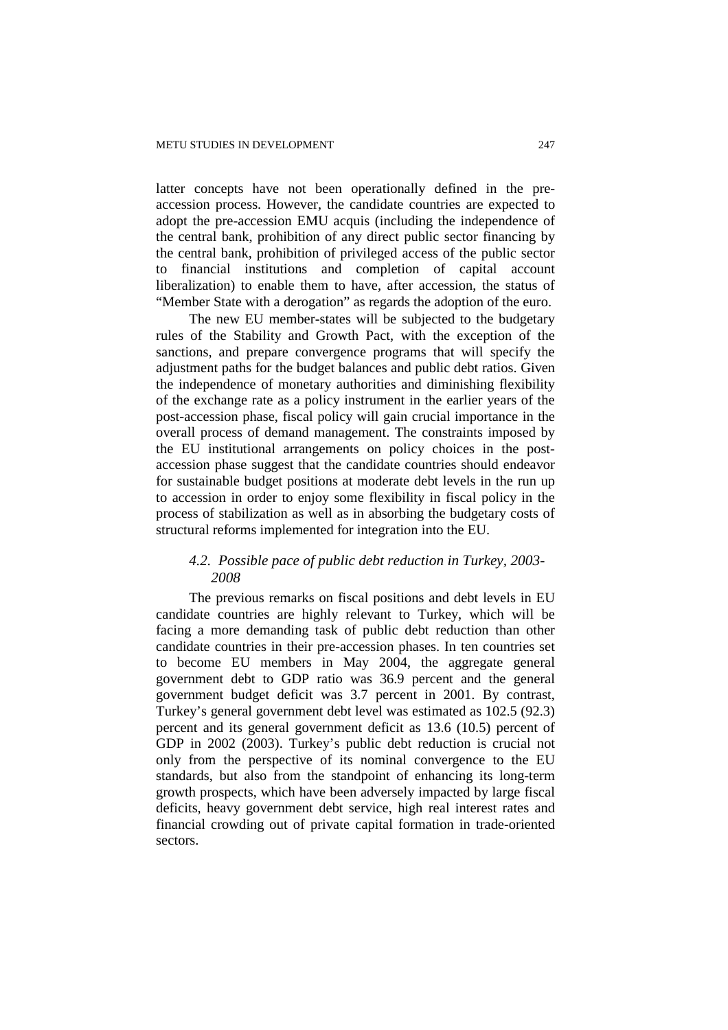latter concepts have not been operationally defined in the preaccession process. However, the candidate countries are expected to adopt the pre-accession EMU acquis (including the independence of the central bank, prohibition of any direct public sector financing by the central bank, prohibition of privileged access of the public sector to financial institutions and completion of capital account liberalization) to enable them to have, after accession, the status of "Member State with a derogation" as regards the adoption of the euro.

The new EU member-states will be subjected to the budgetary rules of the Stability and Growth Pact, with the exception of the sanctions, and prepare convergence programs that will specify the adjustment paths for the budget balances and public debt ratios. Given the independence of monetary authorities and diminishing flexibility of the exchange rate as a policy instrument in the earlier years of the post-accession phase, fiscal policy will gain crucial importance in the overall process of demand management. The constraints imposed by the EU institutional arrangements on policy choices in the postaccession phase suggest that the candidate countries should endeavor for sustainable budget positions at moderate debt levels in the run up to accession in order to enjoy some flexibility in fiscal policy in the process of stabilization as well as in absorbing the budgetary costs of structural reforms implemented for integration into the EU.

# *4.2. Possible pace of public debt reduction in Turkey, 2003- 2008*

The previous remarks on fiscal positions and debt levels in EU candidate countries are highly relevant to Turkey, which will be facing a more demanding task of public debt reduction than other candidate countries in their pre-accession phases. In ten countries set to become EU members in May 2004, the aggregate general government debt to GDP ratio was 36.9 percent and the general government budget deficit was 3.7 percent in 2001. By contrast, Turkey's general government debt level was estimated as 102.5 (92.3) percent and its general government deficit as 13.6 (10.5) percent of GDP in 2002 (2003). Turkey's public debt reduction is crucial not only from the perspective of its nominal convergence to the EU standards, but also from the standpoint of enhancing its long-term growth prospects, which have been adversely impacted by large fiscal deficits, heavy government debt service, high real interest rates and financial crowding out of private capital formation in trade-oriented sectors.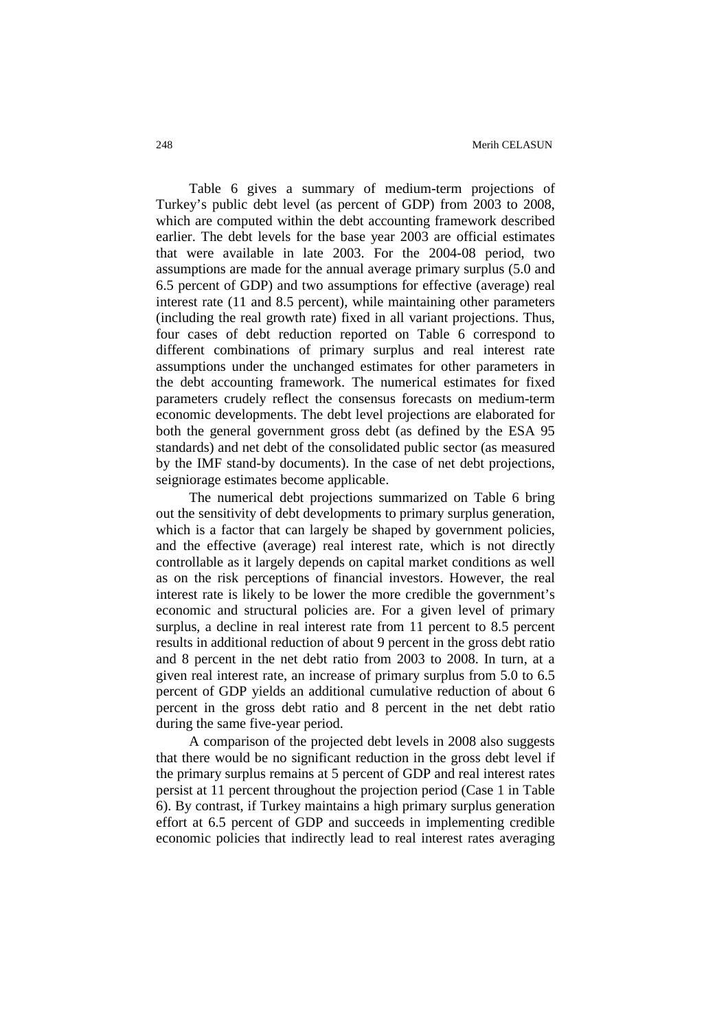Table 6 gives a summary of medium-term projections of Turkey's public debt level (as percent of GDP) from 2003 to 2008, which are computed within the debt accounting framework described earlier. The debt levels for the base year 2003 are official estimates that were available in late 2003. For the 2004-08 period, two assumptions are made for the annual average primary surplus (5.0 and 6.5 percent of GDP) and two assumptions for effective (average) real interest rate (11 and 8.5 percent), while maintaining other parameters (including the real growth rate) fixed in all variant projections. Thus, four cases of debt reduction reported on Table 6 correspond to different combinations of primary surplus and real interest rate assumptions under the unchanged estimates for other parameters in the debt accounting framework. The numerical estimates for fixed parameters crudely reflect the consensus forecasts on medium-term economic developments. The debt level projections are elaborated for both the general government gross debt (as defined by the ESA 95 standards) and net debt of the consolidated public sector (as measured by the IMF stand-by documents). In the case of net debt projections, seigniorage estimates become applicable.

The numerical debt projections summarized on Table 6 bring out the sensitivity of debt developments to primary surplus generation, which is a factor that can largely be shaped by government policies, and the effective (average) real interest rate, which is not directly controllable as it largely depends on capital market conditions as well as on the risk perceptions of financial investors. However, the real interest rate is likely to be lower the more credible the government's economic and structural policies are. For a given level of primary surplus, a decline in real interest rate from 11 percent to 8.5 percent results in additional reduction of about 9 percent in the gross debt ratio and 8 percent in the net debt ratio from 2003 to 2008. In turn, at a given real interest rate, an increase of primary surplus from 5.0 to 6.5 percent of GDP yields an additional cumulative reduction of about 6 percent in the gross debt ratio and 8 percent in the net debt ratio during the same five-year period.

A comparison of the projected debt levels in 2008 also suggests that there would be no significant reduction in the gross debt level if the primary surplus remains at 5 percent of GDP and real interest rates persist at 11 percent throughout the projection period (Case 1 in Table 6). By contrast, if Turkey maintains a high primary surplus generation effort at 6.5 percent of GDP and succeeds in implementing credible economic policies that indirectly lead to real interest rates averaging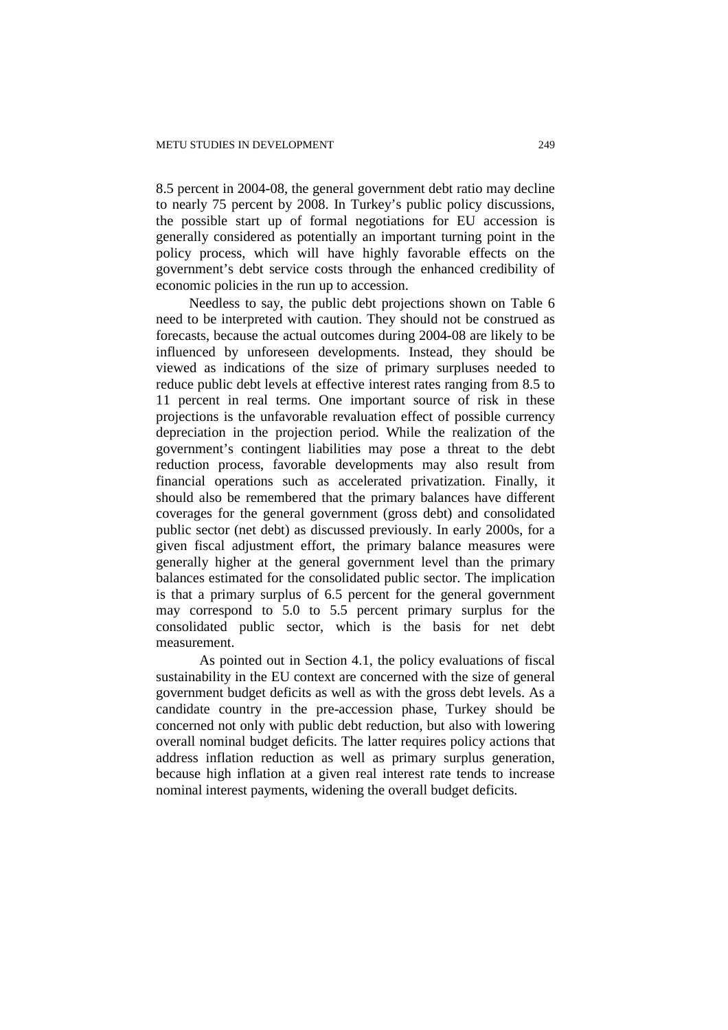8.5 percent in 2004-08, the general government debt ratio may decline to nearly 75 percent by 2008. In Turkey's public policy discussions, the possible start up of formal negotiations for EU accession is generally considered as potentially an important turning point in the policy process, which will have highly favorable effects on the government's debt service costs through the enhanced credibility of economic policies in the run up to accession.

Needless to say, the public debt projections shown on Table 6 need to be interpreted with caution. They should not be construed as forecasts, because the actual outcomes during 2004-08 are likely to be influenced by unforeseen developments. Instead, they should be viewed as indications of the size of primary surpluses needed to reduce public debt levels at effective interest rates ranging from 8.5 to 11 percent in real terms. One important source of risk in these projections is the unfavorable revaluation effect of possible currency depreciation in the projection period. While the realization of the government's contingent liabilities may pose a threat to the debt reduction process, favorable developments may also result from financial operations such as accelerated privatization. Finally, it should also be remembered that the primary balances have different coverages for the general government (gross debt) and consolidated public sector (net debt) as discussed previously. In early 2000s, for a given fiscal adjustment effort, the primary balance measures were generally higher at the general government level than the primary balances estimated for the consolidated public sector. The implication is that a primary surplus of 6.5 percent for the general government may correspond to 5.0 to 5.5 percent primary surplus for the consolidated public sector, which is the basis for net debt measurement.

 As pointed out in Section 4.1, the policy evaluations of fiscal sustainability in the EU context are concerned with the size of general government budget deficits as well as with the gross debt levels. As a candidate country in the pre-accession phase, Turkey should be concerned not only with public debt reduction, but also with lowering overall nominal budget deficits. The latter requires policy actions that address inflation reduction as well as primary surplus generation, because high inflation at a given real interest rate tends to increase nominal interest payments, widening the overall budget deficits.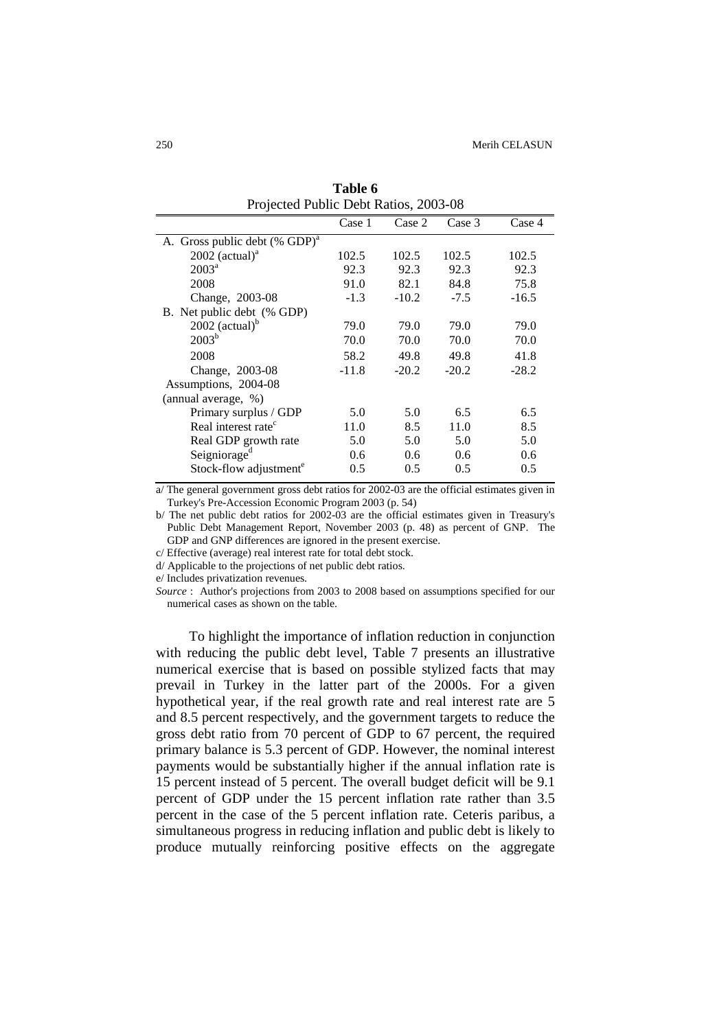| Projected Public Debt Ratios, 2003-08     |         |               |         |         |  |
|-------------------------------------------|---------|---------------|---------|---------|--|
|                                           | Case 1  | Case 2        | Case 3  | Case 4  |  |
| A. Gross public debt (% GDP) <sup>a</sup> |         |               |         |         |  |
| $2002$ (actual) <sup>a</sup>              | 102.5   | 102.5         | 102.5   | 102.5   |  |
| $2003^a$                                  | 92.3    | 92.3          | 92.3    | 92.3    |  |
| 2008                                      | 91.0    | 82.1          | 84.8    | 75.8    |  |
| Change, 2003-08                           | $-1.3$  | $-10.2$       | $-7.5$  | $-16.5$ |  |
| B. Net public debt (% GDP)                |         |               |         |         |  |
| 2002 (actual) $b$                         | 79.0    | 79.0          | 79.0    | 79.0    |  |
| 2003 <sup>b</sup>                         | 70.0    | 70.0          | 70.0    | 70.0    |  |
| 2008                                      | 58.2    | 49.8          | 49.8    | 41.8    |  |
| Change, 2003-08                           | $-11.8$ | $-20.2$       | $-20.2$ | $-28.2$ |  |
| Assumptions, 2004-08                      |         |               |         |         |  |
| (annual average, %)                       |         |               |         |         |  |
| Primary surplus / GDP                     | 5.0     | 5.0           | 6.5     | 6.5     |  |
| Real interest rate <sup>c</sup>           | 11.0    | 8.5           | 11.0    | 8.5     |  |
| Real GDP growth rate                      | 5.0     | 5.0           | 5.0     | 5.0     |  |
| Seigniorage <sup>d</sup>                  | 0.6     | $0.6^{\circ}$ | 0.6     | 0.6     |  |
| Stock-flow adjustment <sup>e</sup>        | 0.5     | 0.5           | 0.5     | 0.5     |  |

**Table 6** 

a/ The general government gross debt ratios for 2002-03 are the official estimates given in Turkey's Pre-Accession Economic Program 2003 (p. 54)

b/ The net public debt ratios for 2002-03 are the official estimates given in Treasury's Public Debt Management Report, November 2003 (p. 48) as percent of GNP. The GDP and GNP differences are ignored in the present exercise.

c/ Effective (average) real interest rate for total debt stock.

d/ Applicable to the projections of net public debt ratios.

e/ Includes privatization revenues.

*Source* : Author's projections from 2003 to 2008 based on assumptions specified for our numerical cases as shown on the table.

To highlight the importance of inflation reduction in conjunction with reducing the public debt level, Table 7 presents an illustrative numerical exercise that is based on possible stylized facts that may prevail in Turkey in the latter part of the 2000s. For a given hypothetical year, if the real growth rate and real interest rate are 5 and 8.5 percent respectively, and the government targets to reduce the gross debt ratio from 70 percent of GDP to 67 percent, the required primary balance is 5.3 percent of GDP. However, the nominal interest payments would be substantially higher if the annual inflation rate is 15 percent instead of 5 percent. The overall budget deficit will be 9.1 percent of GDP under the 15 percent inflation rate rather than 3.5 percent in the case of the 5 percent inflation rate. Ceteris paribus, a simultaneous progress in reducing inflation and public debt is likely to produce mutually reinforcing positive effects on the aggregate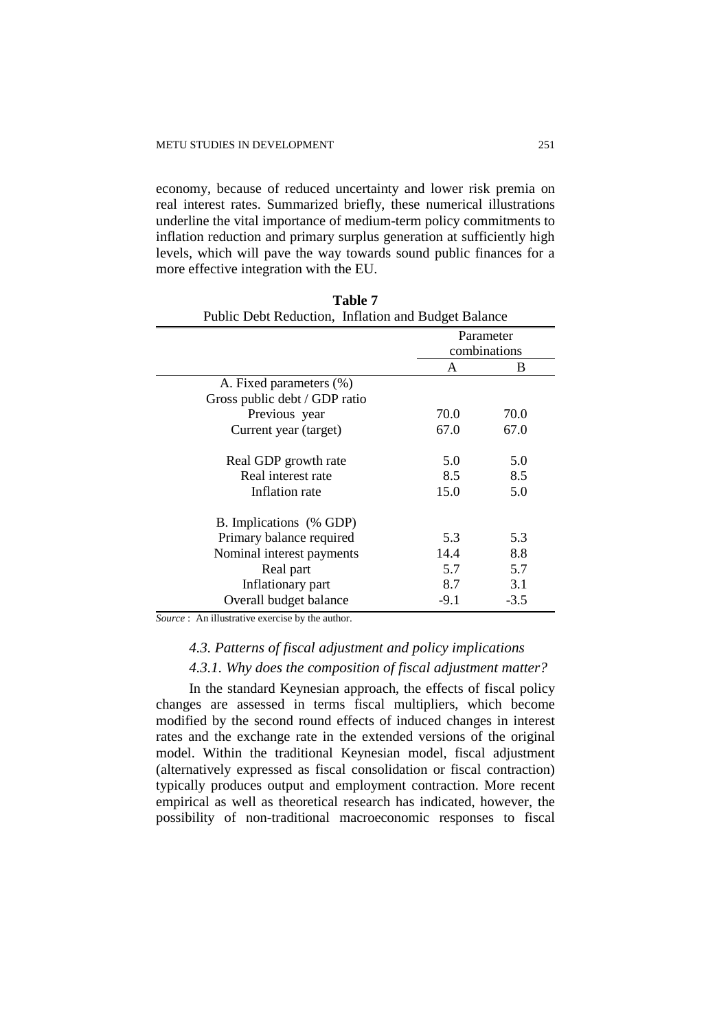economy, because of reduced uncertainty and lower risk premia on real interest rates. Summarized briefly, these numerical illustrations underline the vital importance of medium-term policy commitments to inflation reduction and primary surplus generation at sufficiently high levels, which will pave the way towards sound public finances for a more effective integration with the EU.

| Public Debt Reduction, Initiation and Budget Balance |        |              |  |  |  |
|------------------------------------------------------|--------|--------------|--|--|--|
|                                                      |        | Parameter    |  |  |  |
|                                                      |        | combinations |  |  |  |
|                                                      | A      | B            |  |  |  |
| A. Fixed parameters (%)                              |        |              |  |  |  |
| Gross public debt / GDP ratio                        |        |              |  |  |  |
| Previous year                                        | 70.0   | 70.0         |  |  |  |
| Current year (target)                                | 67.0   | 67.0         |  |  |  |
|                                                      |        |              |  |  |  |
| Real GDP growth rate                                 | 5.0    | 5.0          |  |  |  |
| Real interest rate                                   | 8.5    | 8.5          |  |  |  |
| Inflation rate                                       | 15.0   | 5.0          |  |  |  |
| B. Implications (% GDP)                              |        |              |  |  |  |
| Primary balance required                             | 5.3    | 5.3          |  |  |  |
| Nominal interest payments                            | 14.4   | 8.8          |  |  |  |
| Real part                                            | 5.7    | 5.7          |  |  |  |
| Inflationary part                                    | 8.7    | 3.1          |  |  |  |
| Overall budget balance                               | $-9.1$ | $-3.5$       |  |  |  |

| Table 7 |                                                     |  |  |  |
|---------|-----------------------------------------------------|--|--|--|
|         | Public Debt Reduction, Inflation and Budget Balance |  |  |  |

*Source* : An illustrative exercise by the author.

# *4.3. Patterns of fiscal adjustment and policy implications*

#### *4.3.1. Why does the composition of fiscal adjustment matter?*

In the standard Keynesian approach, the effects of fiscal policy changes are assessed in terms fiscal multipliers, which become modified by the second round effects of induced changes in interest rates and the exchange rate in the extended versions of the original model. Within the traditional Keynesian model, fiscal adjustment (alternatively expressed as fiscal consolidation or fiscal contraction) typically produces output and employment contraction. More recent empirical as well as theoretical research has indicated, however, the possibility of non-traditional macroeconomic responses to fiscal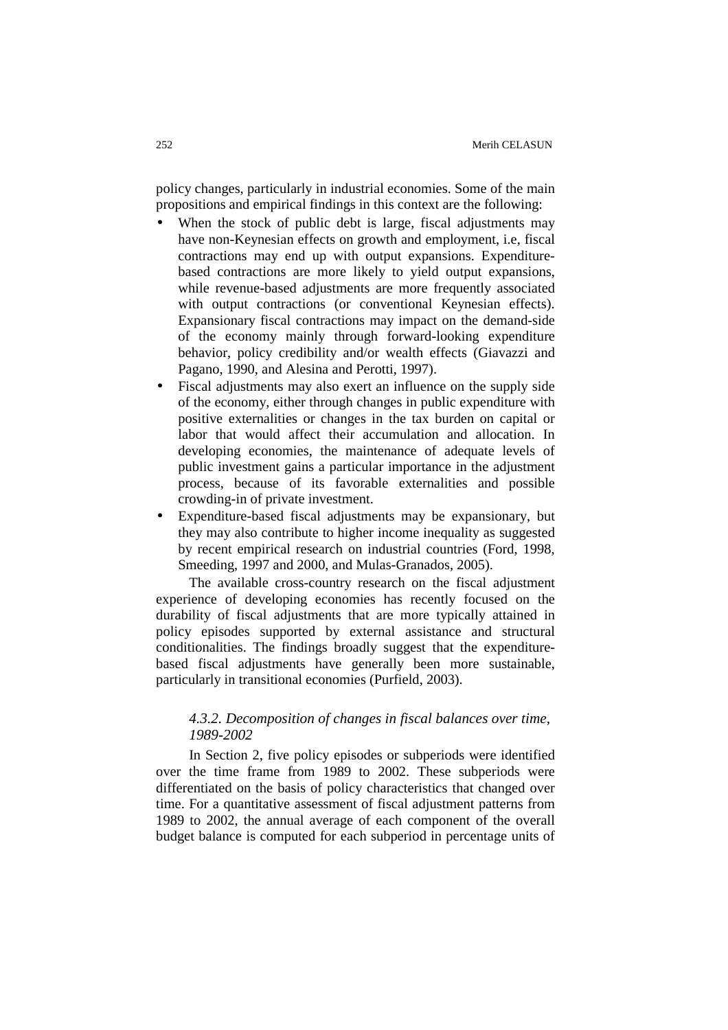policy changes, particularly in industrial economies. Some of the main propositions and empirical findings in this context are the following:

- When the stock of public debt is large, fiscal adjustments may have non-Keynesian effects on growth and employment, i.e, fiscal contractions may end up with output expansions. Expenditurebased contractions are more likely to yield output expansions, while revenue-based adjustments are more frequently associated with output contractions (or conventional Keynesian effects). Expansionary fiscal contractions may impact on the demand-side of the economy mainly through forward-looking expenditure behavior, policy credibility and/or wealth effects (Giavazzi and Pagano, 1990, and Alesina and Perotti, 1997).
- Fiscal adjustments may also exert an influence on the supply side of the economy, either through changes in public expenditure with positive externalities or changes in the tax burden on capital or labor that would affect their accumulation and allocation. In developing economies, the maintenance of adequate levels of public investment gains a particular importance in the adjustment process, because of its favorable externalities and possible crowding-in of private investment.
- Expenditure-based fiscal adjustments may be expansionary, but they may also contribute to higher income inequality as suggested by recent empirical research on industrial countries (Ford, 1998, Smeeding, 1997 and 2000, and Mulas-Granados, 2005).

The available cross-country research on the fiscal adjustment experience of developing economies has recently focused on the durability of fiscal adjustments that are more typically attained in policy episodes supported by external assistance and structural conditionalities. The findings broadly suggest that the expenditurebased fiscal adjustments have generally been more sustainable, particularly in transitional economies (Purfield, 2003).

# *4.3.2. Decomposition of changes in fiscal balances over time, 1989-2002*

In Section 2, five policy episodes or subperiods were identified over the time frame from 1989 to 2002. These subperiods were differentiated on the basis of policy characteristics that changed over time. For a quantitative assessment of fiscal adjustment patterns from 1989 to 2002, the annual average of each component of the overall budget balance is computed for each subperiod in percentage units of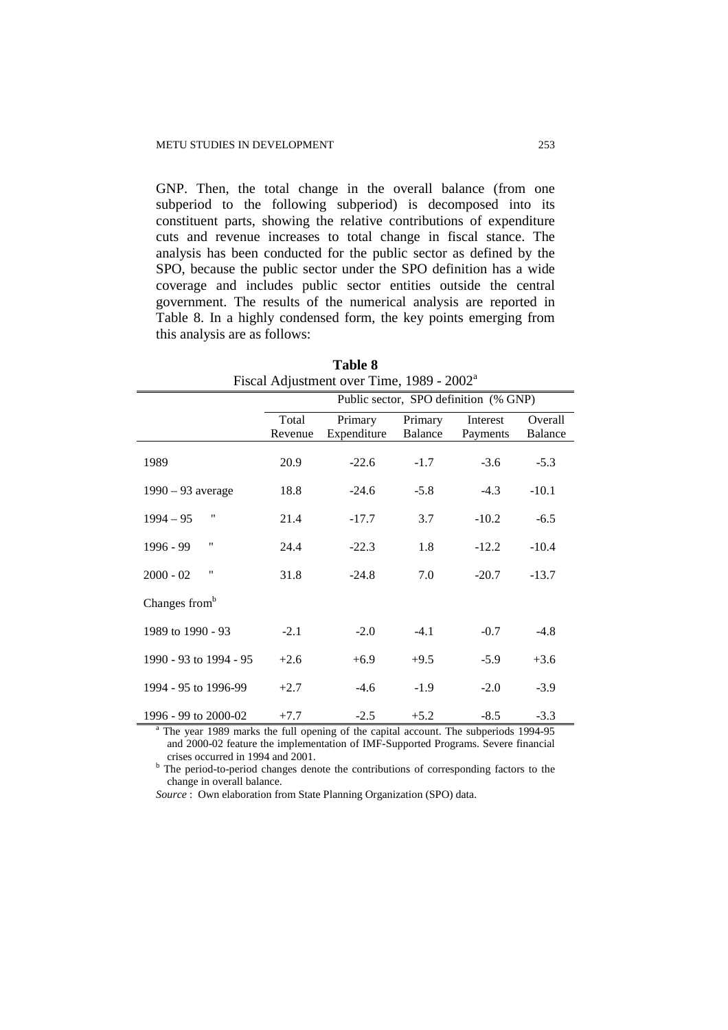GNP. Then, the total change in the overall balance (from one subperiod to the following subperiod) is decomposed into its constituent parts, showing the relative contributions of expenditure cuts and revenue increases to total change in fiscal stance. The analysis has been conducted for the public sector as defined by the SPO, because the public sector under the SPO definition has a wide coverage and includes public sector entities outside the central government. The results of the numerical analysis are reported in Table 8. In a highly condensed form, the key points emerging from this analysis are as follows:

|                                   |         | $1.68$ and $1.66$ and $1.60$ and $1.60$ and $1.60$ and $1.60$ and $1.60$ and $1.60$ and $1.60$ and $1.60$ and $1.60$ and $1.60$ and $1.60$ and $1.60$ and $1.60$ and $1.60$ and $1.60$ and $1.60$ and $1.60$ and $1.60$ and |         |                                       |         |
|-----------------------------------|---------|-----------------------------------------------------------------------------------------------------------------------------------------------------------------------------------------------------------------------------|---------|---------------------------------------|---------|
|                                   |         |                                                                                                                                                                                                                             |         | Public sector, SPO definition (% GNP) |         |
|                                   | Total   | Primary                                                                                                                                                                                                                     | Primary | Interest                              | Overall |
|                                   | Revenue | Expenditure                                                                                                                                                                                                                 | Balance | Payments                              | Balance |
| 1989                              | 20.9    | $-22.6$                                                                                                                                                                                                                     | $-1.7$  | $-3.6$                                | $-5.3$  |
| $1990 - 93$ average               | 18.8    | $-24.6$                                                                                                                                                                                                                     | $-5.8$  | $-4.3$                                | $-10.1$ |
| $\pmb{\mathsf{H}}$<br>$1994 - 95$ | 21.4    | $-17.7$                                                                                                                                                                                                                     | 3.7     | $-10.2$                               | $-6.5$  |
| "<br>1996 - 99                    | 24.4    | $-22.3$                                                                                                                                                                                                                     | 1.8     | $-12.2$                               | $-10.4$ |
| "<br>$2000 - 02$                  | 31.8    | $-24.8$                                                                                                                                                                                                                     | 7.0     | $-20.7$                               | $-13.7$ |
| Changes from <sup>b</sup>         |         |                                                                                                                                                                                                                             |         |                                       |         |
| 1989 to 1990 - 93                 | $-2.1$  | $-2.0$                                                                                                                                                                                                                      | $-4.1$  | $-0.7$                                | $-4.8$  |
| 1990 - 93 to 1994 - 95            | $+2.6$  | $+6.9$                                                                                                                                                                                                                      | $+9.5$  | $-5.9$                                | $+3.6$  |
| 1994 - 95 to 1996-99              | $+2.7$  | $-4.6$                                                                                                                                                                                                                      | $-1.9$  | $-2.0$                                | $-3.9$  |
| 1996 - 99 to 2000-02              | $+7.7$  | $-2.5$                                                                                                                                                                                                                      | $+5.2$  | $-8.5$                                | $-3.3$  |

| <b>Table 8</b>                                        |  |
|-------------------------------------------------------|--|
| Fiscal Adjustment over Time, 1989 - 2002 <sup>a</sup> |  |

<sup>a</sup> The year 1989 marks the full opening of the capital account. The subperiods 1994-95 and 2000-02 feature the implementation of IMF-Supported Programs. Severe financial crises occurred in 1994 and 2001.

<sup>b</sup> The period-to-period changes denote the contributions of corresponding factors to the change in overall balance.

*Source* : Own elaboration from State Planning Organization (SPO) data.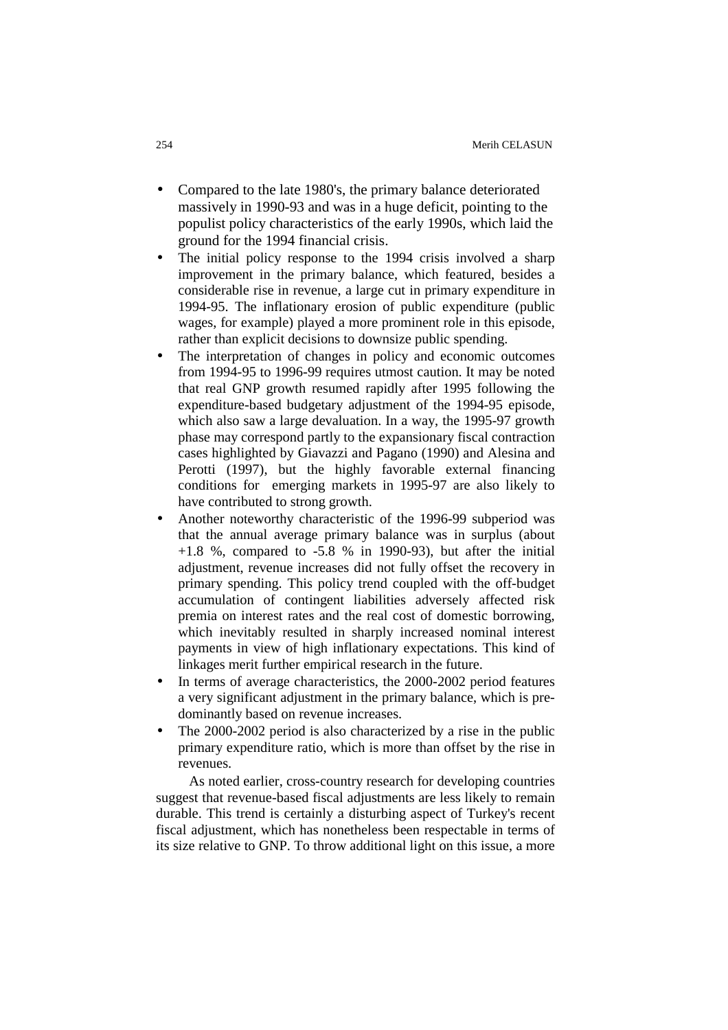- Compared to the late 1980's, the primary balance deteriorated massively in 1990-93 and was in a huge deficit, pointing to the populist policy characteristics of the early 1990s, which laid the ground for the 1994 financial crisis.
- The initial policy response to the 1994 crisis involved a sharp improvement in the primary balance, which featured, besides a considerable rise in revenue, a large cut in primary expenditure in 1994-95. The inflationary erosion of public expenditure (public wages, for example) played a more prominent role in this episode, rather than explicit decisions to downsize public spending.
- The interpretation of changes in policy and economic outcomes from 1994-95 to 1996-99 requires utmost caution. It may be noted that real GNP growth resumed rapidly after 1995 following the expenditure-based budgetary adjustment of the 1994-95 episode, which also saw a large devaluation. In a way, the 1995-97 growth phase may correspond partly to the expansionary fiscal contraction cases highlighted by Giavazzi and Pagano (1990) and Alesina and Perotti (1997), but the highly favorable external financing conditions for emerging markets in 1995-97 are also likely to have contributed to strong growth.
- Another noteworthy characteristic of the 1996-99 subperiod was that the annual average primary balance was in surplus (about  $+1.8$  %, compared to  $-5.8$  % in 1990-93), but after the initial adjustment, revenue increases did not fully offset the recovery in primary spending. This policy trend coupled with the off-budget accumulation of contingent liabilities adversely affected risk premia on interest rates and the real cost of domestic borrowing, which inevitably resulted in sharply increased nominal interest payments in view of high inflationary expectations. This kind of linkages merit further empirical research in the future.
- In terms of average characteristics, the 2000-2002 period features a very significant adjustment in the primary balance, which is predominantly based on revenue increases.
- The 2000-2002 period is also characterized by a rise in the public primary expenditure ratio, which is more than offset by the rise in revenues.

As noted earlier, cross-country research for developing countries suggest that revenue-based fiscal adjustments are less likely to remain durable. This trend is certainly a disturbing aspect of Turkey's recent fiscal adjustment, which has nonetheless been respectable in terms of its size relative to GNP. To throw additional light on this issue, a more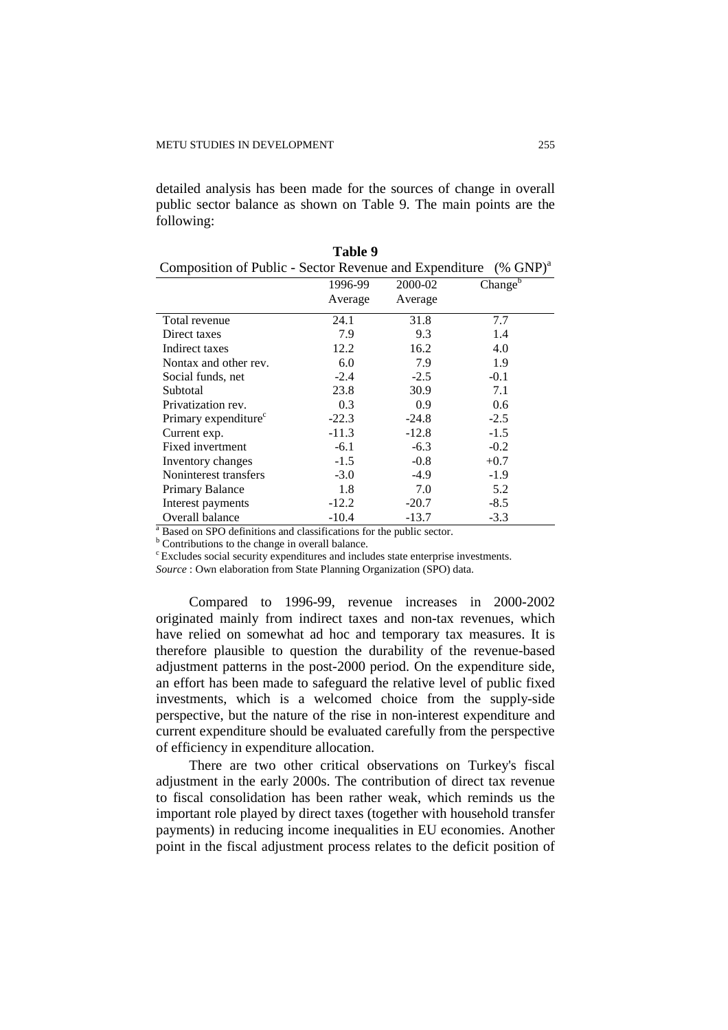detailed analysis has been made for the sources of change in overall public sector balance as shown on Table 9. The main points are the following:

**Table 9** 

| Composition of Public - Sector Revenue and Expenditure $(\%$ GNP) <sup>a</sup> |         |         |                       |
|--------------------------------------------------------------------------------|---------|---------|-----------------------|
|                                                                                | 1996-99 | 2000-02 | Change $\overline{b}$ |
|                                                                                | Average | Average |                       |
| Total revenue                                                                  | 24.1    | 31.8    | 7.7                   |
| Direct taxes                                                                   | 7.9     | 9.3     | 1.4                   |
| Indirect taxes                                                                 | 12.2    | 16.2    | 4.0                   |
| Nontax and other rev.                                                          | 6.0     | 7.9     | 1.9                   |
| Social funds, net                                                              | $-2.4$  | $-2.5$  | $-0.1$                |
| Subtotal                                                                       | 23.8    | 30.9    | 7.1                   |
| Privatization rev.                                                             | 0.3     | 0.9     | 0.6                   |
| Primary expenditure <sup>c</sup>                                               | $-22.3$ | $-24.8$ | $-2.5$                |
| Current exp.                                                                   | $-11.3$ | $-12.8$ | $-1.5$                |
| Fixed invertment                                                               | $-6.1$  | $-6.3$  | $-0.2$                |
| Inventory changes                                                              | $-1.5$  | $-0.8$  | $+0.7$                |
| Noninterest transfers                                                          | $-3.0$  | $-4.9$  | $-1.9$                |
| Primary Balance                                                                | 1.8     | 7.0     | 5.2                   |
| Interest payments                                                              | $-12.2$ | $-20.7$ | $-8.5$                |
| Overall balance                                                                | $-10.4$ | $-13.7$ | $-3.3$                |

| <sup>a</sup> Based on SPO definitions and classifications for the public sector. |
|----------------------------------------------------------------------------------|
|----------------------------------------------------------------------------------|

<sup>b</sup> Contributions to the change in overall balance.

<sup>c</sup> Excludes social security expenditures and includes state enterprise investments.

*Source* : Own elaboration from State Planning Organization (SPO) data.

Compared to 1996-99, revenue increases in 2000-2002 originated mainly from indirect taxes and non-tax revenues, which have relied on somewhat ad hoc and temporary tax measures. It is therefore plausible to question the durability of the revenue-based adjustment patterns in the post-2000 period. On the expenditure side, an effort has been made to safeguard the relative level of public fixed investments, which is a welcomed choice from the supply-side perspective, but the nature of the rise in non-interest expenditure and current expenditure should be evaluated carefully from the perspective of efficiency in expenditure allocation.

There are two other critical observations on Turkey's fiscal adjustment in the early 2000s. The contribution of direct tax revenue to fiscal consolidation has been rather weak, which reminds us the important role played by direct taxes (together with household transfer payments) in reducing income inequalities in EU economies. Another point in the fiscal adjustment process relates to the deficit position of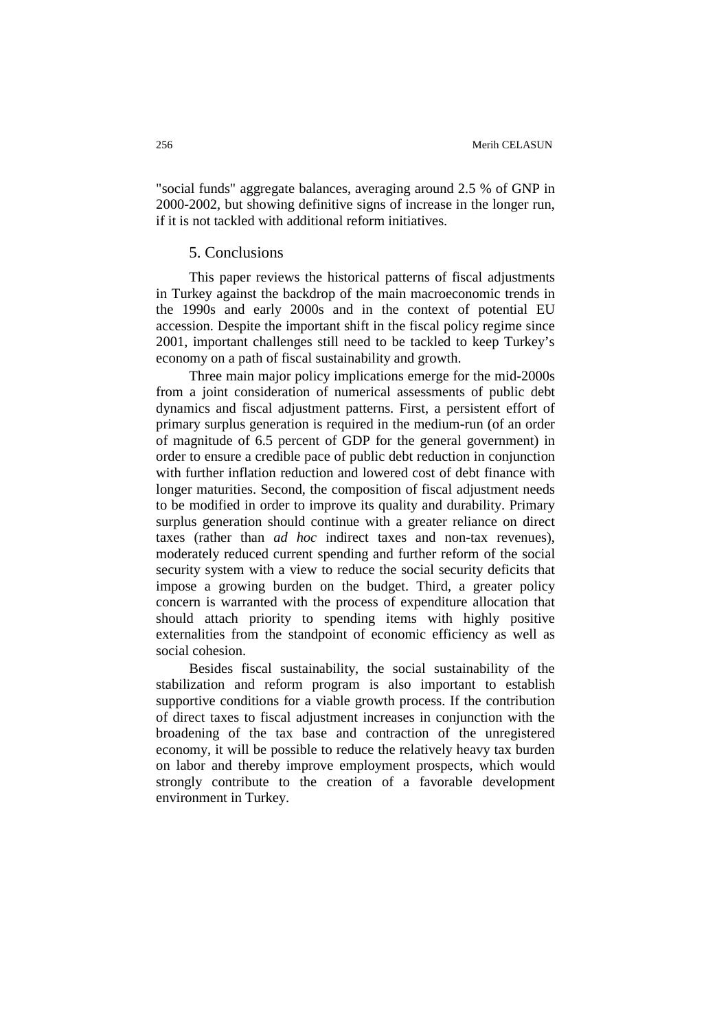"social funds" aggregate balances, averaging around 2.5 % of GNP in 2000-2002, but showing definitive signs of increase in the longer run, if it is not tackled with additional reform initiatives.

# 5. Conclusions

This paper reviews the historical patterns of fiscal adjustments in Turkey against the backdrop of the main macroeconomic trends in the 1990s and early 2000s and in the context of potential EU accession. Despite the important shift in the fiscal policy regime since 2001, important challenges still need to be tackled to keep Turkey's economy on a path of fiscal sustainability and growth.

Three main major policy implications emerge for the mid-2000s from a joint consideration of numerical assessments of public debt dynamics and fiscal adjustment patterns. First, a persistent effort of primary surplus generation is required in the medium-run (of an order of magnitude of 6.5 percent of GDP for the general government) in order to ensure a credible pace of public debt reduction in conjunction with further inflation reduction and lowered cost of debt finance with longer maturities. Second, the composition of fiscal adjustment needs to be modified in order to improve its quality and durability. Primary surplus generation should continue with a greater reliance on direct taxes (rather than *ad hoc* indirect taxes and non-tax revenues), moderately reduced current spending and further reform of the social security system with a view to reduce the social security deficits that impose a growing burden on the budget. Third, a greater policy concern is warranted with the process of expenditure allocation that should attach priority to spending items with highly positive externalities from the standpoint of economic efficiency as well as social cohesion.

Besides fiscal sustainability, the social sustainability of the stabilization and reform program is also important to establish supportive conditions for a viable growth process. If the contribution of direct taxes to fiscal adjustment increases in conjunction with the broadening of the tax base and contraction of the unregistered economy, it will be possible to reduce the relatively heavy tax burden on labor and thereby improve employment prospects, which would strongly contribute to the creation of a favorable development environment in Turkey.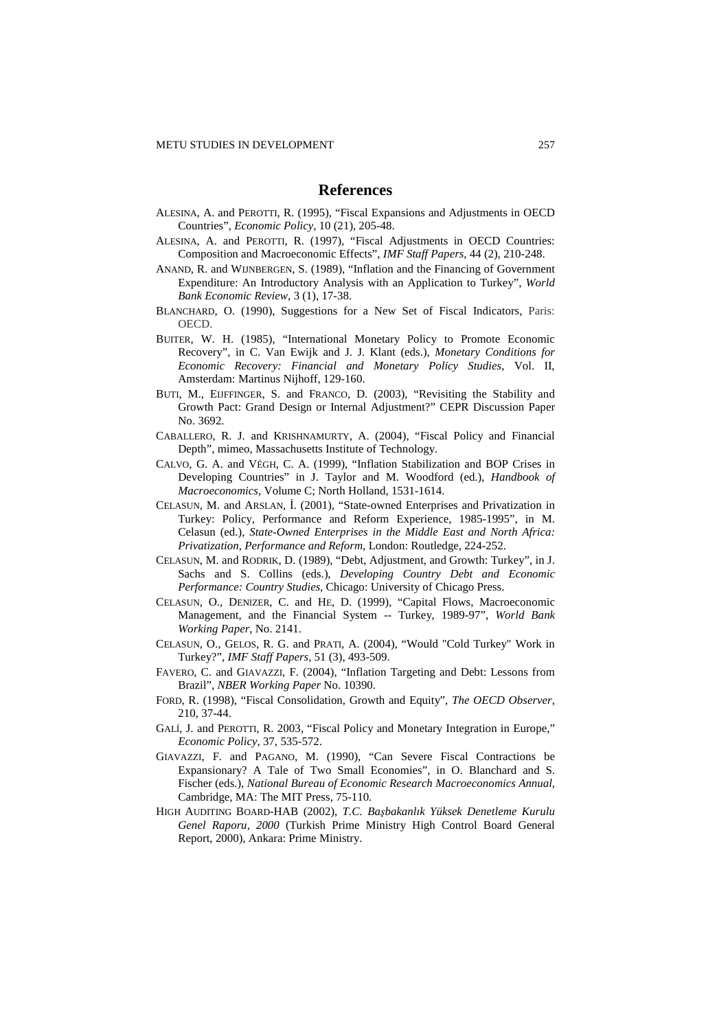# **References**

- ALESINA, A. and PEROTTI, R. (1995), "Fiscal Expansions and Adjustments in OECD Countries", *Economic Policy*, 10 (21), 205-48.
- ALESINA, A. and PEROTTI, R. (1997), "Fiscal Adjustments in OECD Countries: Composition and Macroeconomic Effects", *IMF Staff Papers*, 44 (2), 210-248.
- ANAND, R. and WIJNBERGEN, S. (1989), "Inflation and the Financing of Government Expenditure: An Introductory Analysis with an Application to Turkey", *World Bank Economic Review*, 3 (1), 17-38.
- BLANCHARD, O. (1990), Suggestions for a New Set of Fiscal Indicators, Paris: OECD.
- BUITER, W. H. (1985), "International Monetary Policy to Promote Economic Recovery", in C. Van Ewijk and J. J. Klant (eds.), *Monetary Conditions for Economic Recovery: Financial and Monetary Policy Studies*, Vol. II, Amsterdam: Martinus Nijhoff, 129-160.
- BUTI, M., EIJFFINGER, S. and FRANCO, D. (2003), "Revisiting the Stability and Growth Pact: Grand Design or Internal Adjustment?" CEPR Discussion Paper No. 3692.
- CABALLERO, R. J. and KRISHNAMURTY, A. (2004), "Fiscal Policy and Financial Depth", mimeo, Massachusetts Institute of Technology.
- CALVO, G. A. and VÉGH, C. A. (1999), "Inflation Stabilization and BOP Crises in Developing Countries" in J. Taylor and M. Woodford (ed.), *Handbook of Macroeconomics*, Volume C; North Holland, 1531-1614.
- CELASUN, M. and ARSLAN, I. (2001), "State-owned Enterprises and Privatization in Turkey: Policy, Performance and Reform Experience, 1985-1995", in M. Celasun (ed.), *State-Owned Enterprises in the Middle East and North Africa: Privatization*, *Performance and Reform*, London: Routledge, 224-252.
- CELASUN, M. and RODRIK, D. (1989), "Debt, Adjustment, and Growth: Turkey", in J. Sachs and S. Collins (eds.), *Developing Country Debt and Economic Performance: Country Studies*, Chicago: University of Chicago Press.
- CELASUN, O., DENIZER, C. and HE, D. (1999), "Capital Flows, Macroeconomic Management, and the Financial System -- Turkey, 1989-97", *World Bank Working Paper*, No. 2141.
- CELASUN, O., GELOS, R. G. and PRATI, A. (2004), "Would "Cold Turkey" Work in Turkey?", *IMF Staff Papers*, 51 (3), 493-509.
- FAVERO, C. and GIAVAZZI, F. (2004), "Inflation Targeting and Debt: Lessons from Brazil", *NBER Working Paper* No. 10390.
- FORD, R. (1998), "Fiscal Consolidation, Growth and Equity", *The OECD Observer*, 210, 37-44.
- GALÍ, J. and PEROTTI, R. 2003, "Fiscal Policy and Monetary Integration in Europe," *Economic Policy*, 37, 535-572.
- GIAVAZZI, F. and PAGANO, M. (1990), "Can Severe Fiscal Contractions be Expansionary? A Tale of Two Small Economies", in O. Blanchard and S. Fischer (eds.), *National Bureau of Economic Research Macroeconomics Annual*, Cambridge, MA: The MIT Press, 75-110.
- HIGH AUDITING BOARD-HAB (2002), *T.C. Ba*ş*bakanlık Yüksek Denetleme Kurulu Genel Raporu, 2000* (Turkish Prime Ministry High Control Board General Report, 2000), Ankara: Prime Ministry.